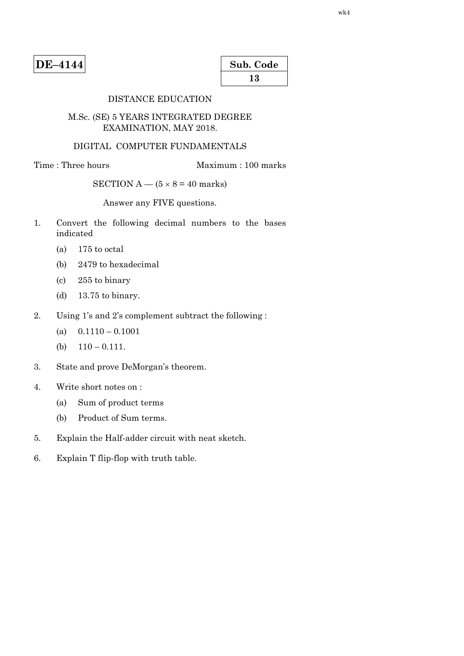| Sub. Code |  |
|-----------|--|
| 13        |  |

## DISTANCE EDUCATION

## M.Sc. (SE) 5 YEARS INTEGRATED DEGREE EXAMINATION, MAY 2018.

## DIGITAL COMPUTER FUNDAMENTALS

# Time : Three hours Maximum : 100 marks

# SECTION  $A - (5 \times 8 = 40$  marks)

Answer any FIVE questions.

- 1. Convert the following decimal numbers to the bases indicated
	- (a) 175 to octal
	- (b) 2479 to hexadecimal
	- (c) 255 to binary
	- (d) 13.75 to binary.
- 2. Using 1's and 2's complement subtract the following :
	- (a)  $0.1110 0.1001$
	- (b)  $110 0.111$ .
- 3. State and prove DeMorgan's theorem.
- 4. Write short notes on :
	- (a) Sum of product terms
	- (b) Product of Sum terms.
- 5. Explain the Half-adder circuit with neat sketch.
- 6. Explain T flip-flop with truth table.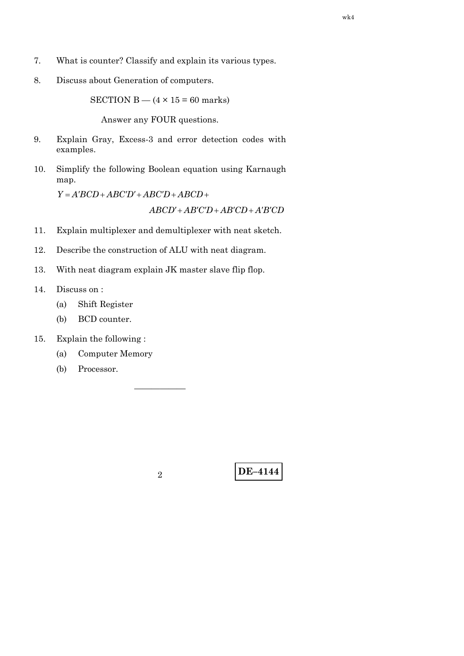- 7. What is counter? Classify and explain its various types.
- 8. Discuss about Generation of computers.

SECTION B —  $(4 \times 15 = 60$  marks)

Answer any FOUR questions.

- 9. Explain Gray, Excess-3 and error detection codes with examples.
- 10. Simplify the following Boolean equation using Karnaugh map.

 $Y = A'BCD + ABC'D' + ABC'D' + ABCD +$ 

 $ABCD' + AB'C'D + AB'CD + A'B'CD$ 

- 11. Explain multiplexer and demultiplexer with neat sketch.
- 12. Describe the construction of ALU with neat diagram.
- 13. With neat diagram explain JK master slave flip flop.
- 14. Discuss on :
	- (a) Shift Register
	- (b) BCD counter.
- 15. Explain the following :
	- (a) Computer Memory
	- (b) Processor.

——————

**DE–4144** <sup>2</sup>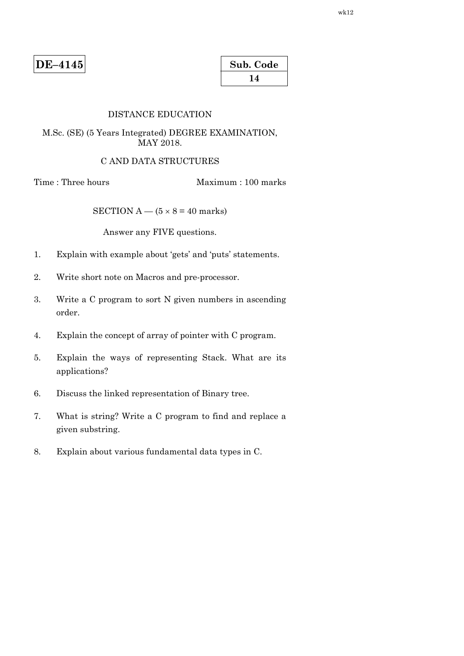| Sub. Code |  |
|-----------|--|
| 14        |  |

#### DISTANCE EDUCATION

## M.Sc. (SE) (5 Years Integrated) DEGREE EXAMINATION, MAY 2018.

## C AND DATA STRUCTURES

Time : Three hours Maximum : 100 marks

SECTION A —  $(5 \times 8 = 40$  marks)

Answer any FIVE questions.

- 1. Explain with example about 'gets' and 'puts' statements.
- 2. Write short note on Macros and pre-processor.
- 3. Write a C program to sort N given numbers in ascending order.
- 4. Explain the concept of array of pointer with C program.
- 5. Explain the ways of representing Stack. What are its applications?
- 6. Discuss the linked representation of Binary tree.
- 7. What is string? Write a C program to find and replace a given substring.
- 8. Explain about various fundamental data types in C.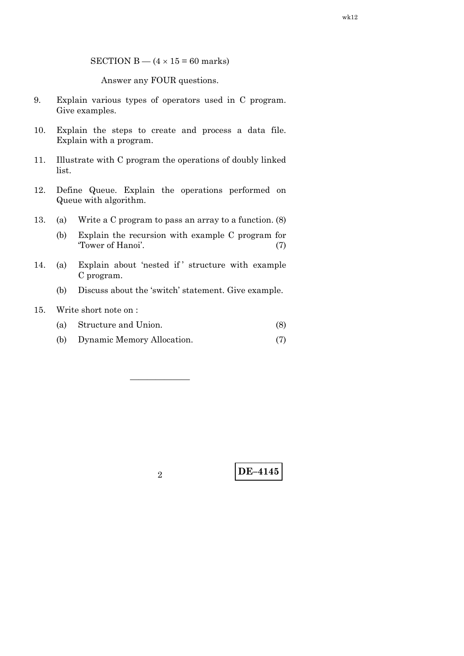SECTION B —  $(4 \times 15 = 60$  marks)

Answer any FOUR questions.

- 9. Explain various types of operators used in C program. Give examples.
- 10. Explain the steps to create and process a data file. Explain with a program.
- 11. Illustrate with C program the operations of doubly linked list.
- 12. Define Queue. Explain the operations performed on Queue with algorithm.
- 13. (a) Write a C program to pass an array to a function. (8)
	- (b) Explain the recursion with example C program for 'Tower of Hanoi'. (7)
- 14. (a) Explain about 'nested if ' structure with example C program.
	- (b) Discuss about the 'switch' statement. Give example.
- 15. Write short note on :
	- (a) Structure and Union. (8)
	- (b) Dynamic Memory Allocation. (7)

———————

**DE–4145** <sup>2</sup>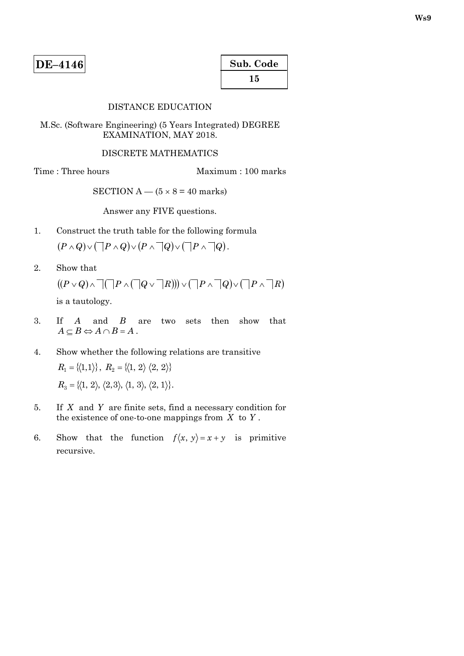| Sub. Code |  |
|-----------|--|
| 15        |  |

#### DISTANCE EDUCATION

M.Sc. (Software Engineering) (5 Years Integrated) DEGREE EXAMINATION, MAY 2018.

#### DISCRETE MATHEMATICS

Time : Three hours Maximum : 100 marks

SECTION  $A - (5 \times 8 = 40$  marks)

Answer any FIVE questions.

- 1. Construct the truth table for the following formula  $(P \wedge Q) \vee (\Box P \wedge Q) \vee (P \wedge \Box Q) \vee (\Box P \wedge \Box Q).$
- 2. Show that

 $P(P \vee Q) \wedge \Box (P \wedge (\Box Q \vee \Box R)) \vee (\Box P \wedge \Box Q) \vee (\Box P \wedge \Box R)$ is a tautology.

- 3. If *A* and *B* are two sets then show that  $A \subseteq B \Leftrightarrow A \cap B = A$ .
- 4. Show whether the following relations are transitive  $R_1 = \{(1,1)\}, R_2 = \{(1, 2) \ (2, 2)\}$  $R_3 = \{(1, 2), (2, 3), (1, 3), (2, 1)\}.$
- 5. If *X* and *Y* are finite sets, find a necessary condition for the existence of one-to-one mappings from *X* to *Y* .
- 6. Show that the function  $f\langle x, y \rangle = x + y$  is primitive recursive.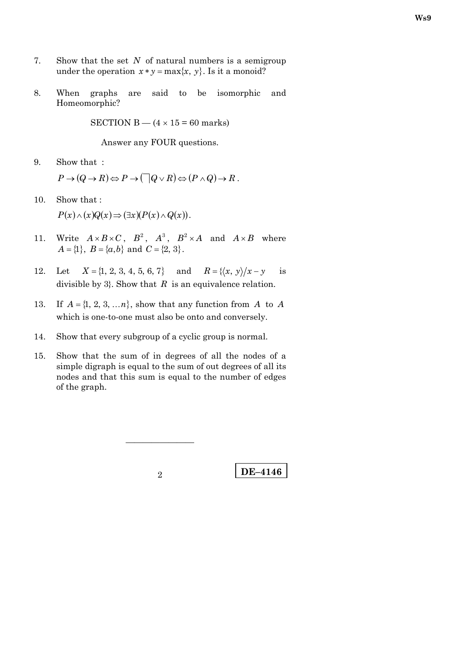- 7. Show that the set *N* of natural numbers is a semigroup under the operation  $x * y = max\{x, y\}$ . Is it a monoid?
- 8. When graphs are said to be isomorphic and Homeomorphic?

SECTION B —  $(4 \times 15 = 60$  marks)

Answer any FOUR questions.

9. Show that :

 $P \rightarrow (Q \rightarrow R) \Leftrightarrow P \rightarrow (\Box Q \vee R) \Leftrightarrow (P \wedge Q) \rightarrow R$ .

10. Show that :

 $P(x) \wedge (x)Q(x) \Rightarrow (\exists x)(P(x) \wedge Q(x)).$ 

- 11. Write  $A \times B \times C$ ,  $B^2$ ,  $A^3$ ,  $B^2 \times A$  and  $A \times B$  where  $A = \{1\}, B = \{a, b\}$  and  $C = \{2, 3\}.$
- 12. Let  $X = \{1, 2, 3, 4, 5, 6, 7\}$  and  $R = \{(x, y) / x y$  is divisible by 3}. Show that *R* is an equivalence relation.
- 13. If  $A = \{1, 2, 3, \ldots n\}$ , show that any function from *A* to *A* which is one-to-one must also be onto and conversely.
- 14. Show that every subgroup of a cyclic group is normal.
- 15. Show that the sum of in degrees of all the nodes of a simple digraph is equal to the sum of out degrees of all its nodes and that this sum is equal to the number of edges of the graph.

————————

**DE–4146** 2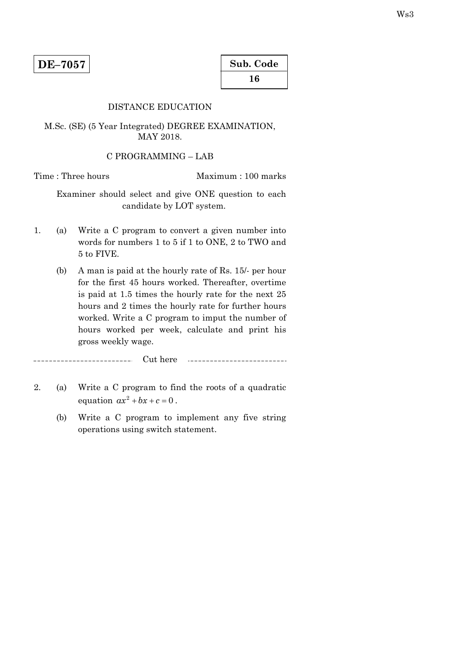# DISTANCE EDUCATION

M.Sc. (SE) (5 Year Integrated) DEGREE EXAMINATION, MAY 2018.

#### C PROGRAMMING – LAB

Time : Three hours Maximum : 100 marks

 Examiner should select and give ONE question to each candidate by LOT system.

- 1. (a) Write a C program to convert a given number into words for numbers 1 to 5 if 1 to ONE, 2 to TWO and 5 to FIVE.
	- (b) A man is paid at the hourly rate of Rs. 15/- per hour for the first 45 hours worked. Thereafter, overtime is paid at 1.5 times the hourly rate for the next 25 hours and 2 times the hourly rate for further hours worked. Write a C program to imput the number of hours worked per week, calculate and print his gross weekly wage.

----------------------Cut here 

- 2. (a) Write a C program to find the roots of a quadratic equation  $ax^2 + bx + c = 0$ .
	- (b) Write a C program to implement any five string operations using switch statement.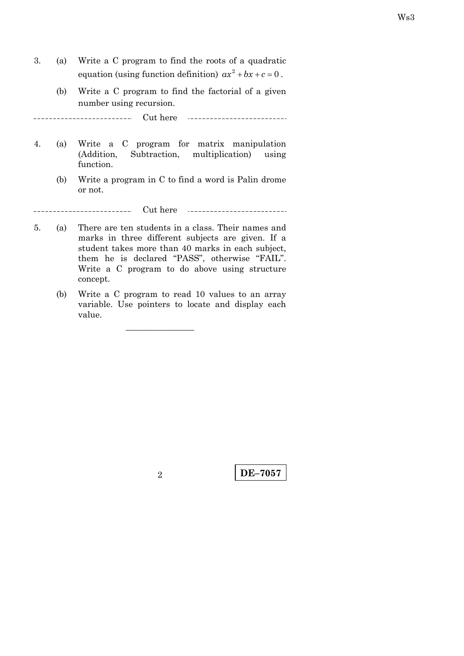- 3. (a) Write a C program to find the roots of a quadratic equation (using function definition)  $ax^2 + bx + c = 0$ .
	- (b) Write a C program to find the factorial of a given number using recursion.

\_\_\_\_\_\_\_\_. Cut here <u>. . . . . . . . . . . . . . .</u>

- 4. (a) Write a C program for matrix manipulation (Addition, Subtraction, multiplication) using function.
	- (b) Write a program in C to find a word is Palin drome or not.

-------------------Cut here ...........................

- 5. (a) There are ten students in a class. Their names and marks in three different subjects are given. If a student takes more than 40 marks in each subject, them he is declared "PASS", otherwise "FAIL". Write a C program to do above using structure concept.
	- (b) Write a C program to read 10 values to an array variable. Use pointers to locate and display each value.

————————

**DE–7057** <sup>2</sup>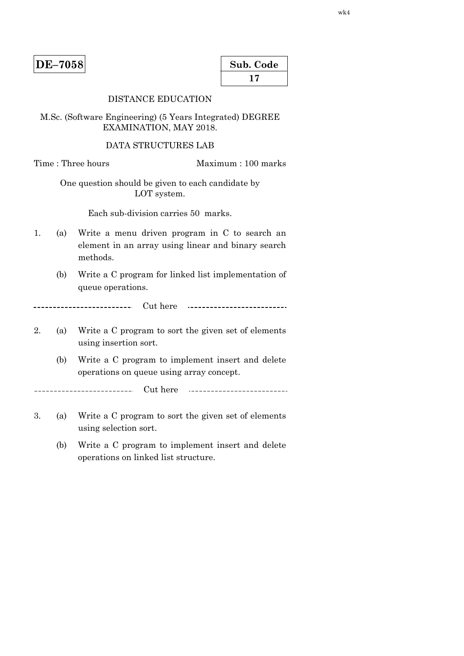| Sub. Code |
|-----------|
| 17        |

## DISTANCE EDUCATION

M.Sc. (Software Engineering) (5 Years Integrated) DEGREE EXAMINATION, MAY 2018.

#### DATA STRUCTURES LAB

Time : Three hours Maximum : 100 marks

One question should be given to each candidate by LOT system.

Each sub-division carries 50 marks.

- 1. (a) Write a menu driven program in C to search an element in an array using linear and binary search methods.
	- (b) Write a C program for linked list implementation of queue operations.

------------------------ Cut here \_\_\_\_\_\_\_\_\_\_\_\_\_\_\_\_\_\_\_\_\_\_\_\_\_\_\_\_\_

- 2. (a) Write a C program to sort the given set of elements using insertion sort.
	- (b) Write a C program to implement insert and delete operations on queue using array concept.

Cut here \_\_\_\_\_\_\_\_\_\_\_\_\_\_\_\_\_\_\_\_\_\_\_\_\_\_\_

- 3. (a) Write a C program to sort the given set of elements using selection sort.
	- (b) Write a C program to implement insert and delete operations on linked list structure.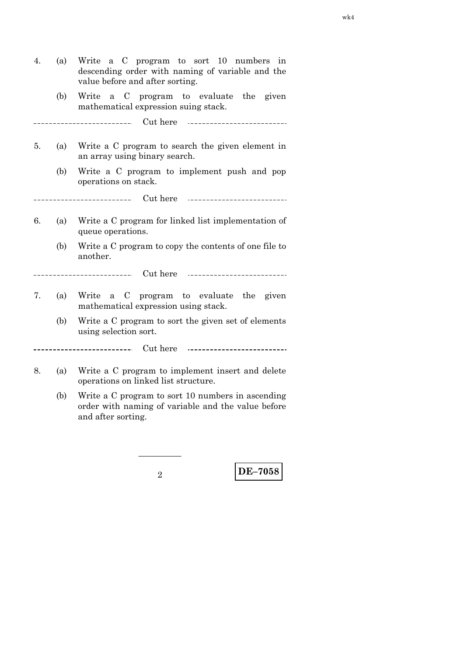| 4. | (a) | Write a C program to sort 10 numbers<br>1n<br>descending order with naming of variable and the<br>value before and after sorting. |
|----|-----|-----------------------------------------------------------------------------------------------------------------------------------|
|    | (b) | Write a C program to evaluate the given<br>mathematical expression suing stack.                                                   |
|    |     |                                                                                                                                   |
| 5. | (a) | Write a C program to search the given element in<br>an array using binary search.                                                 |
|    | (b) | Write a C program to implement push and pop<br>operations on stack.                                                               |
|    |     |                                                                                                                                   |
| 6. | (a) | Write a C program for linked list implementation of<br>queue operations.                                                          |
|    | (b) | Write a C program to copy the contents of one file to<br>another.                                                                 |
|    |     |                                                                                                                                   |
| 7. | (a) | Write<br>a C program to evaluate the given<br>mathematical expression using stack.                                                |
|    | (b) | Write a C program to sort the given set of elements<br>using selection sort.                                                      |
|    |     |                                                                                                                                   |
| 8. | (a) | Write a C program to implement insert and delete<br>operations on linked list structure.                                          |

 (b) Write a C program to sort 10 numbers in ascending order with naming of variable and the value before and after sorting.

—————

**DE–7058** <sup>2</sup>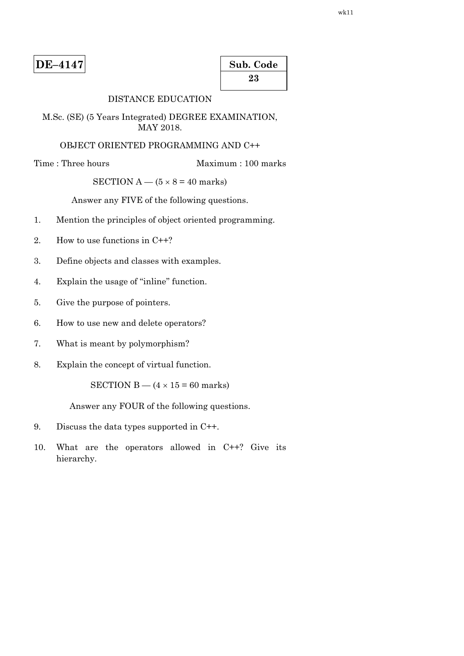| Sub. Code |  |
|-----------|--|
| 23        |  |

# DISTANCE EDUCATION

M.Sc. (SE) (5 Years Integrated) DEGREE EXAMINATION, MAY 2018.

### OBJECT ORIENTED PROGRAMMING AND C++

Time : Three hours Maximum : 100 marks

## SECTION  $A - (5 \times 8 = 40$  marks)

Answer any FIVE of the following questions.

- 1. Mention the principles of object oriented programming.
- 2. How to use functions in C++?
- 3. Define objects and classes with examples.
- 4. Explain the usage of ''inline'' function.
- 5. Give the purpose of pointers.
- 6. How to use new and delete operators?
- 7. What is meant by polymorphism?
- 8. Explain the concept of virtual function.

SECTION B —  $(4 \times 15 = 60$  marks)

Answer any FOUR of the following questions.

- 9. Discuss the data types supported in C++.
- 10. What are the operators allowed in C++? Give its hierarchy.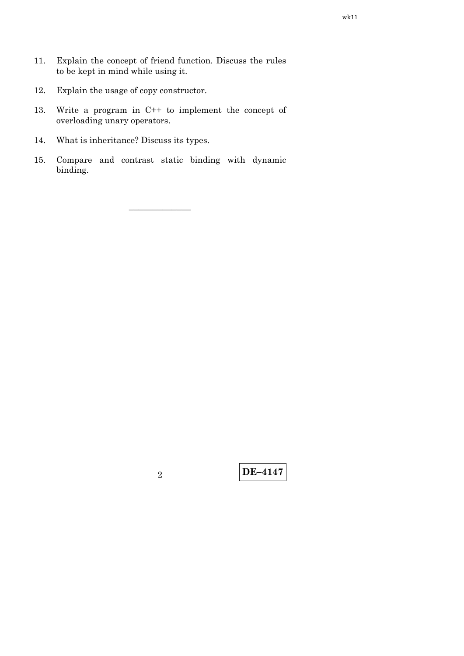- 11. Explain the concept of friend function. Discuss the rules to be kept in mind while using it.
- 12. Explain the usage of copy constructor.
- 13. Write a program in C++ to implement the concept of overloading unary operators.
- 14. What is inheritance? Discuss its types.
- 15. Compare and contrast static binding with dynamic binding.

–––––––––––––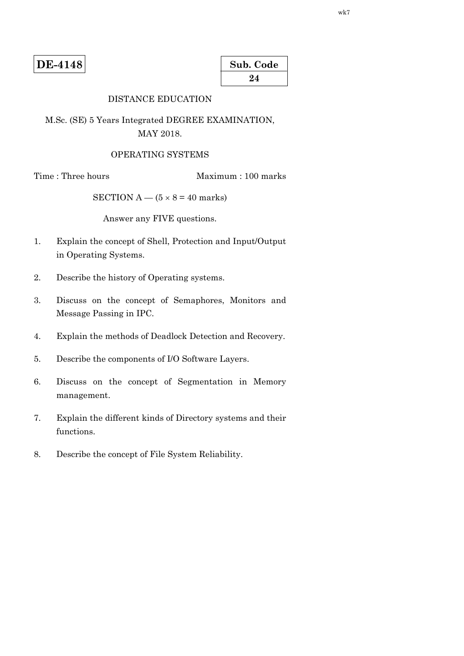**DE-4148** 

| Sub. Code |  |
|-----------|--|
| 24        |  |

# DISTANCE EDUCATION

M.Sc. (SE) 5 Years Integrated DEGREE EXAMINATION, MAY 2018.

#### OPERATING SYSTEMS

Time : Three hours Maximum : 100 marks

SECTION  $A - (5 \times 8 = 40$  marks)

Answer any FIVE questions.

- 1. Explain the concept of Shell, Protection and Input/Output in Operating Systems.
- 2. Describe the history of Operating systems.
- 3. Discuss on the concept of Semaphores, Monitors and Message Passing in IPC.
- 4. Explain the methods of Deadlock Detection and Recovery.
- 5. Describe the components of I/O Software Layers.
- 6. Discuss on the concept of Segmentation in Memory management.
- 7. Explain the different kinds of Directory systems and their functions.
- 8. Describe the concept of File System Reliability.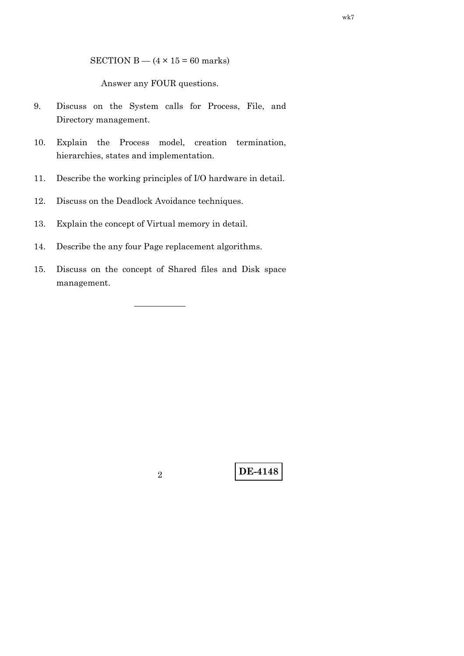SECTION B —  $(4 \times 15 = 60$  marks)

Answer any FOUR questions.

- 9. Discuss on the System calls for Process, File, and Directory management.
- 10. Explain the Process model, creation termination, hierarchies, states and implementation.
- 11. Describe the working principles of I/O hardware in detail.
- 12. Discuss on the Deadlock Avoidance techniques.
- 13. Explain the concept of Virtual memory in detail.
- 14. Describe the any four Page replacement algorithms.
- 15. Discuss on the concept of Shared files and Disk space management.

——————

**DE-4148** <sup>2</sup>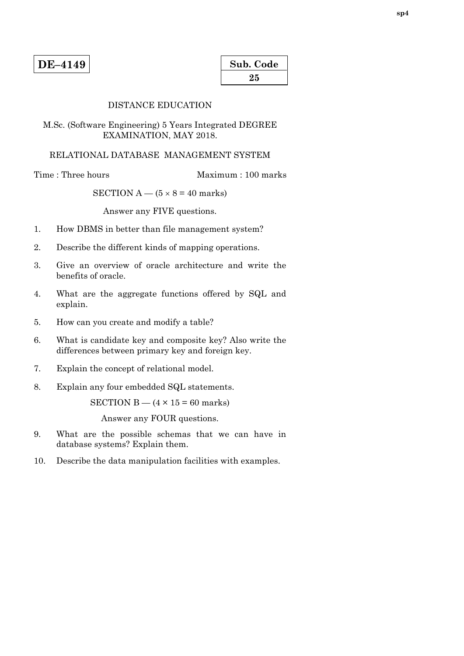| Sub. Code |  |
|-----------|--|
| 25        |  |

#### DISTANCE EDUCATION

M.Sc. (Software Engineering) 5 Years Integrated DEGREE EXAMINATION, MAY 2018.

#### RELATIONAL DATABASE MANAGEMENT SYSTEM

Time : Three hours Maximum : 100 marks

SECTION  $A - (5 \times 8 = 40$  marks)

Answer any FIVE questions.

- 1. How DBMS in better than file management system?
- 2. Describe the different kinds of mapping operations.
- 3. Give an overview of oracle architecture and write the benefits of oracle.
- 4. What are the aggregate functions offered by SQL and explain.
- 5. How can you create and modify a table?
- 6. What is candidate key and composite key? Also write the differences between primary key and foreign key.
- 7. Explain the concept of relational model.
- 8. Explain any four embedded SQL statements.

SECTION B  $-$  (4  $\times$  15 = 60 marks)

Answer any FOUR questions.

- 9. What are the possible schemas that we can have in database systems? Explain them.
- 10. Describe the data manipulation facilities with examples.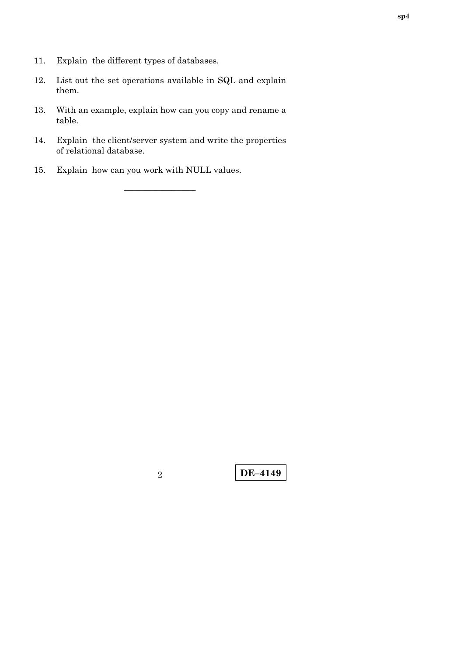- 11. Explain the different types of databases.
- 12. List out the set operations available in SQL and explain them.
- 13. With an example, explain how can you copy and rename a table.
- 14. Explain the client/server system and write the properties of relational database.

–––––––––––––––

15. Explain how can you work with NULL values.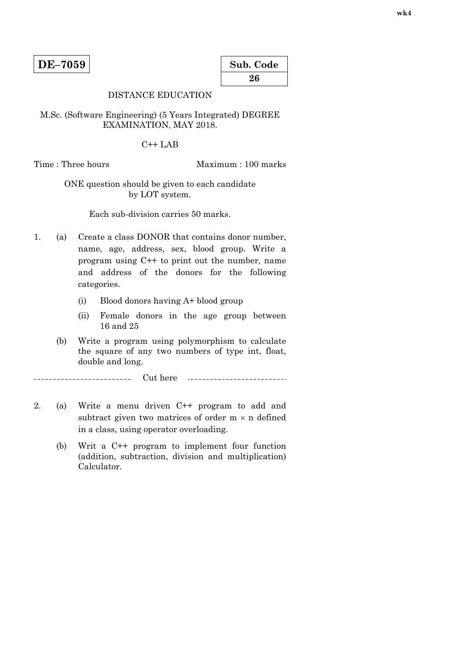| Sub. Code |  |
|-----------|--|
| 26        |  |

## DISTANCE EDUCATION

M.Sc. (Software Engineering) (5 Years Integrated) DEGREE EXAMINATION, MAY 2018.

 $C++LAB$ 

Time : Three hours Maximum : 100 marks

# ONE question should be given to each candidate by LOT system.

Each sub-division carries 50 marks.

- 1. (a) Create a class DONOR that contains donor number, name, age, address, sex, blood group. Write a program using C++ to print out the number, name and address of the donors for the following categories.
	- (i) Blood donors having A+ blood group
	- (ii) Female donors in the age group between 16 and 25
	- (b) Write a program using polymorphism to calculate the square of any two numbers of type int, float, double and long.

-----------------------Cut here

- 2. (a) Write a menu driven C++ program to add and subtract given two matrices of order  $m \times n$  defined in a class, using operator overloading.
	- (b) Writ a C++ program to implement four function (addition, subtraction, division and multiplication) Calculator.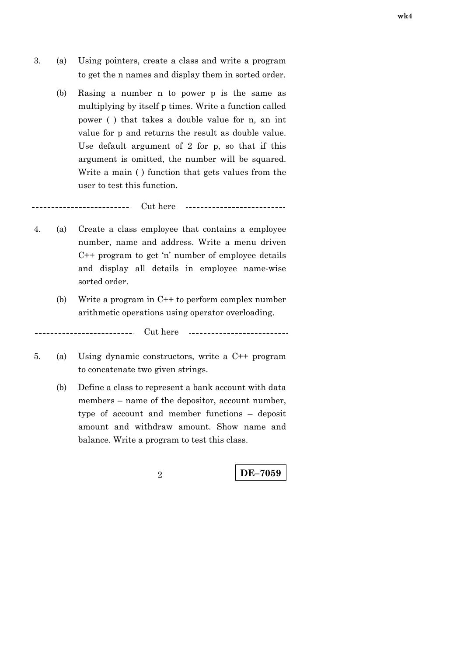- 3. (a) Using pointers, create a class and write a program to get the n names and display them in sorted order.
	- (b) Rasing a number n to power p is the same as multiplying by itself p times. Write a function called power ( ) that takes a double value for n, an int value for p and returns the result as double value. Use default argument of 2 for p, so that if this argument is omitted, the number will be squared. Write a main ( ) function that gets values from the user to test this function.

Cut here 

 $\overline{\phantom{a}}$ 

 $\overline{a}$ 

- 4. (a) Create a class employee that contains a employee number, name and address. Write a menu driven C++ program to get 'n' number of employee details and display all details in employee name-wise sorted order.
	- (b) Write a program in C++ to perform complex number arithmetic operations using operator overloading.

Cut here

- 5. (a) Using dynamic constructors, write a C++ program to concatenate two given strings.
	- (b) Define a class to represent a bank account with data members – name of the depositor, account number, type of account and member functions – deposit amount and withdraw amount. Show name and balance. Write a program to test this class.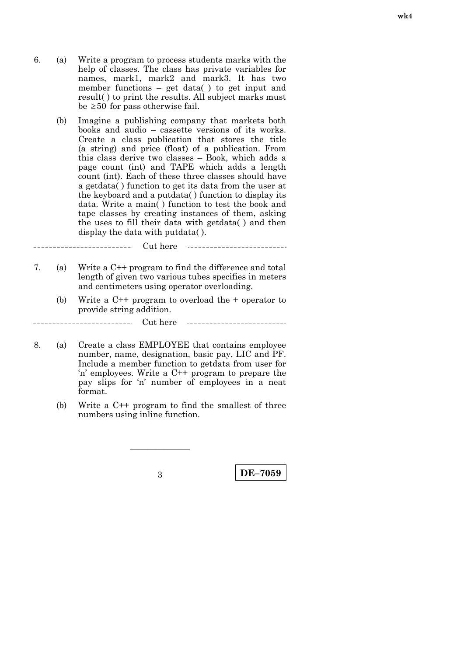- 6. (a) Write a program to process students marks with the help of classes. The class has private variables for names, mark1, mark2 and mark3. It has two member functions – get data( ) to get input and result( ) to print the results. All subject marks must be  $\geq 50$  for pass otherwise fail.
	- (b) Imagine a publishing company that markets both books and audio – cassette versions of its works. Create a class publication that stores the title (a string) and price (float) of a publication. From this class derive two classes – Book, which adds a page count (int) and TAPE which adds a length count (int). Each of these three classes should have a getdata( ) function to get its data from the user at the keyboard and a putdata( ) function to display its data. Write a main( ) function to test the book and tape classes by creating instances of them, asking the uses to fill their data with getdata( ) and then display the data with putdata( ).

Cut here \_\_\_\_\_\_\_\_\_\_\_\_\_\_\_ 

7. (a) Write a C++ program to find the difference and total length of given two various tubes specifies in meters and centimeters using operator overloading.

 $\overline{a}$ 

 $\overline{a}$ 

 (b) Write a C++ program to overload the + operator to provide string addition.

Cut here ---------------------------

- 8. (a) Create a class EMPLOYEE that contains employee number, name, designation, basic pay, LIC and PF. Include a member function to getdata from user for 'n' employees. Write a C++ program to prepare the pay slips for 'n' number of employees in a neat format.
	- (b) Write a C++ program to find the smallest of three numbers using inline function.

———————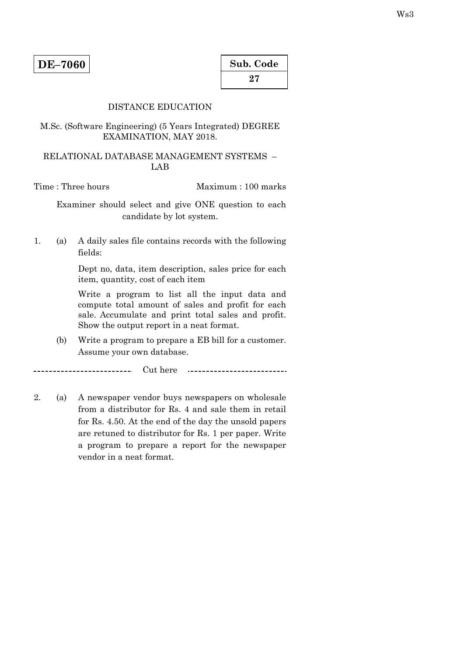| Sub. Code |  |
|-----------|--|
| 27        |  |

# DISTANCE EDUCATION

## M.Sc. (Software Engineering) (5 Years Integrated) DEGREE EXAMINATION, MAY 2018.

## RELATIONAL DATABASE MANAGEMENT SYSTEMS – LAB

Time : Three hours Maximum : 100 marks

 Examiner should select and give ONE question to each candidate by lot system.

1. (a) A daily sales file contains records with the following fields:

> Dept no, data, item description, sales price for each item, quantity, cost of each item

> Write a program to list all the input data and compute total amount of sales and profit for each sale. Accumulate and print total sales and profit. Show the output report in a neat format.

 (b) Write a program to prepare a EB bill for a customer. Assume your own database.

\_\_\_\_\_\_\_\_\_\_\_\_\_\_\_\_\_\_\_\_\_\_\_\_\_\_\_\_ Cut here \_\_\_\_\_\_\_\_\_\_\_\_\_\_\_\_\_\_\_\_\_\_\_\_\_\_\_\_\_

2. (a) A newspaper vendor buys newspapers on wholesale from a distributor for Rs. 4 and sale them in retail for Rs. 4.50. At the end of the day the unsold papers are retuned to distributor for Rs. 1 per paper. Write a program to prepare a report for the newspaper vendor in a neat format.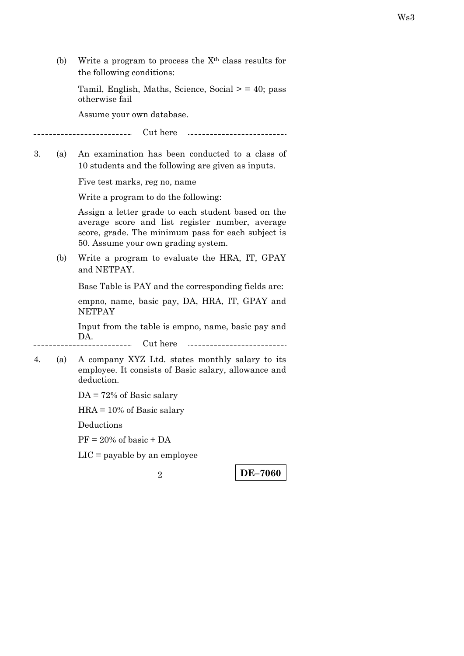(b) Write a program to process the  $X<sup>th</sup>$  class results for the following conditions:

Tamil, English, Maths, Science, Social  $>$  = 40; pass otherwise fail

Assume your own database.

Cut here \_\_\_\_\_\_\_\_\_\_\_\_\_\_\_ 

3. (a) An examination has been conducted to a class of 10 students and the following are given as inputs.

Five test marks, reg no, name

Write a program to do the following:

Assign a letter grade to each student based on the average score and list register number, average score, grade. The minimum pass for each subject is 50. Assume your own grading system.

 (b) Write a program to evaluate the HRA, IT, GPAY and NETPAY.

Base Table is PAY and the corresponding fields are:

 empno, name, basic pay, DA, HRA, IT, GPAY and **NETPAY** 

 Input from the table is empno, name, basic pay and DA.

Cut here  $\mathcal{L} = \mathcal{L}$ 

4. (a) A company XYZ Ltd. states monthly salary to its employee. It consists of Basic salary, allowance and deduction.

DA = 72% of Basic salary

HRA = 10% of Basic salary

Deductions

 $PF = 20\%$  of basic + DA

LIC = payable by an employee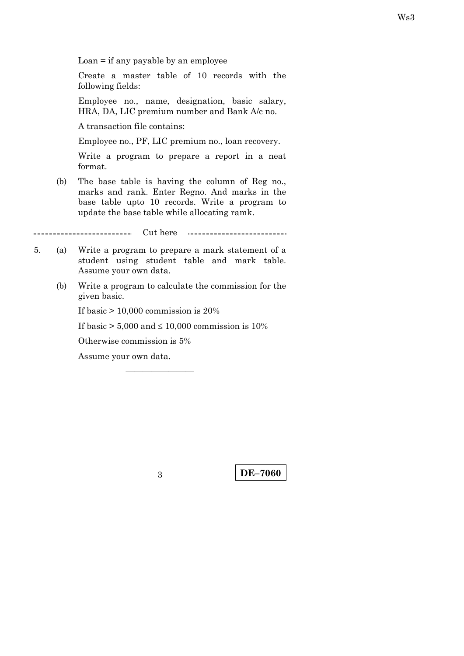$Loan = if any payable by an employee$ 

Create a master table of 10 records with the following fields:

Employee no., name, designation, basic salary, HRA, DA, LIC premium number and Bank A/c no.

A transaction file contains:

Employee no., PF, LIC premium no., loan recovery.

Write a program to prepare a report in a neat format.

 (b) The base table is having the column of Reg no., marks and rank. Enter Regno. And marks in the base table upto 10 records. Write a program to update the base table while allocating ramk.

Cut here ---------------------------\_ \_ \_ \_ \_ \_ \_ *\_* .

- 5. (a) Write a program to prepare a mark statement of a student using student table and mark table. Assume your own data.
	- (b) Write a program to calculate the commission for the given basic.

If basic  $> 10,000$  commission is 20%

If basic  $> 5,000$  and  $\leq 10,000$  commission is 10%

————————

Otherwise commission is 5%

Assume your own data.

**DE–7060** 3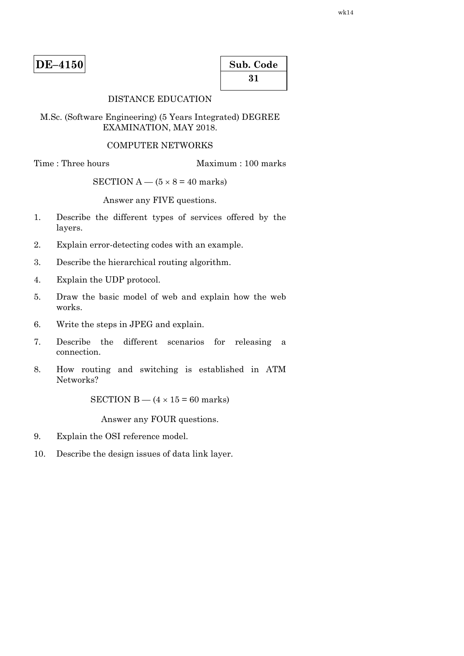| $DE-4150$ |
|-----------|
|-----------|

| Sub. Code |  |
|-----------|--|
| 31        |  |

# DISTANCE EDUCATION

M.Sc. (Software Engineering) (5 Years Integrated) DEGREE EXAMINATION, MAY 2018.

#### COMPUTER NETWORKS

Time : Three hours Maximum : 100 marks

SECTION  $A - (5 \times 8 = 40$  marks)

Answer any FIVE questions.

- 1. Describe the different types of services offered by the layers.
- 2. Explain error-detecting codes with an example.
- 3. Describe the hierarchical routing algorithm.
- 4. Explain the UDP protocol.
- 5. Draw the basic model of web and explain how the web works.
- 6. Write the steps in JPEG and explain.
- 7. Describe the different scenarios for releasing a connection.
- 8. How routing and switching is established in ATM Networks?

SECTION B —  $(4 \times 15 = 60$  marks)

Answer any FOUR questions.

- 9. Explain the OSI reference model.
- 10. Describe the design issues of data link layer.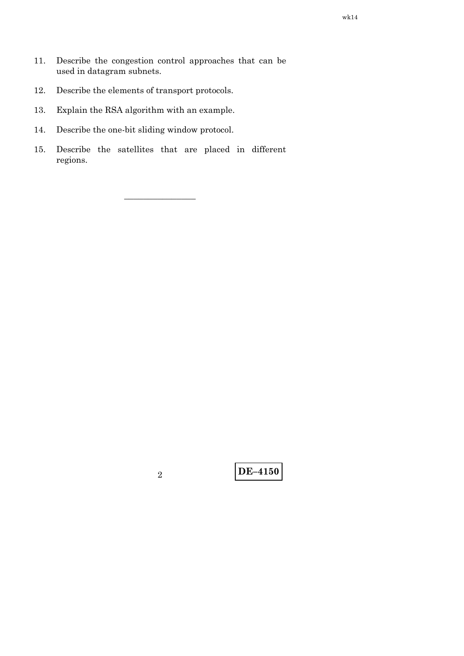- 12. Describe the elements of transport protocols.
- 13. Explain the RSA algorithm with an example.
- 14. Describe the one-bit sliding window protocol.
- 15. Describe the satellites that are placed in different regions.

–––––––––––––––

**DE–4150** <sup>2</sup>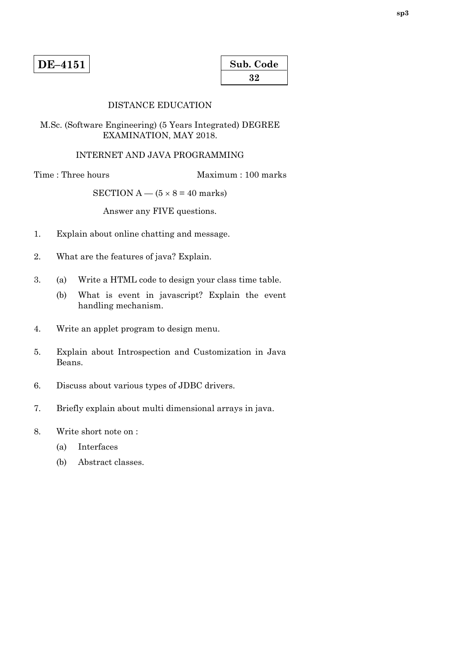| Sub. Code |  |
|-----------|--|
| 32        |  |

# DISTANCE EDUCATION

M.Sc. (Software Engineering) (5 Years Integrated) DEGREE EXAMINATION, MAY 2018.

#### INTERNET AND JAVA PROGRAMMING

Time : Three hours Maximum : 100 marks

SECTION  $A - (5 \times 8 = 40$  marks)

Answer any FIVE questions.

- 1. Explain about online chatting and message.
- 2. What are the features of java? Explain.
- 3. (a) Write a HTML code to design your class time table.
	- (b) What is event in javascript? Explain the event handling mechanism.
- 4. Write an applet program to design menu.
- 5. Explain about Introspection and Customization in Java Beans.
- 6. Discuss about various types of JDBC drivers.
- 7. Briefly explain about multi dimensional arrays in java.
- 8. Write short note on :
	- (a) Interfaces
	- (b) Abstract classes.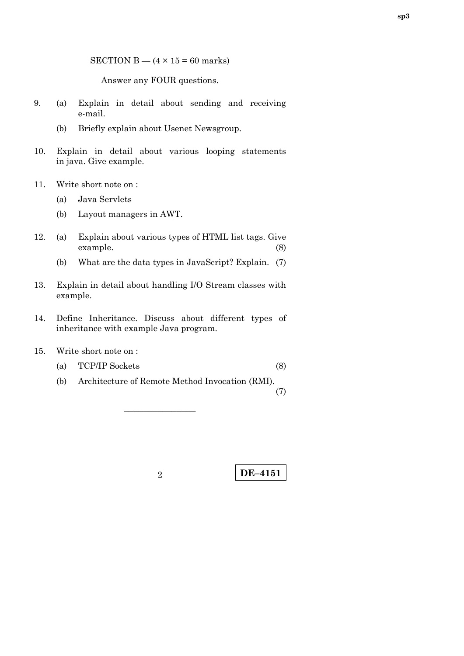SECTION B  $-$  (4  $\times$  15 = 60 marks)

Answer any FOUR questions.

- 9. (a) Explain in detail about sending and receiving e-mail.
	- (b) Briefly explain about Usenet Newsgroup.
- 10. Explain in detail about various looping statements in java. Give example.
- 11. Write short note on :
	- (a) Java Servlets
	- (b) Layout managers in AWT.
- 12. (a) Explain about various types of HTML list tags. Give example. (8)
	- (b) What are the data types in JavaScript? Explain. (7)
- 13. Explain in detail about handling I/O Stream classes with example.
- 14. Define Inheritance. Discuss about different types of inheritance with example Java program.
- 15. Write short note on :
	- (a) TCP/IP Sockets (8)
		-
	- (b) Architecture of Remote Method Invocation (RMI). (7)

–––––––––––––––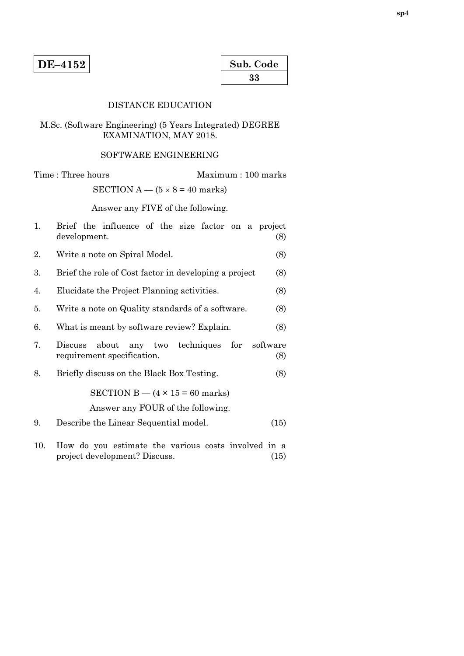| Sub. Code |  |  |  |
|-----------|--|--|--|
| 33        |  |  |  |

## DISTANCE EDUCATION

# M.Sc. (Software Engineering) (5 Years Integrated) DEGREE EXAMINATION, MAY 2018.

# SOFTWARE ENGINEERING

Time : Three hours Maximum : 100 marks SECTION  $A - (5 \times 8 = 40$  marks)

Answer any FIVE of the following.

| 1.  | Brief the influence of the size factor on a project<br>development.<br>(8)                   |
|-----|----------------------------------------------------------------------------------------------|
| 2.  | Write a note on Spiral Model.<br>(8)                                                         |
| 3.  | Brief the role of Cost factor in developing a project<br>(8)                                 |
| 4.  | Elucidate the Project Planning activities.<br>(8)                                            |
| 5.  | Write a note on Quality standards of a software.<br>(8)                                      |
| 6.  | What is meant by software review? Explain.<br>(8)                                            |
| 7.  | about any two techniques for<br>software<br>Discuss<br>requirement specification.<br>(8)     |
| 8.  | Briefly discuss on the Black Box Testing.<br>(8)                                             |
|     | SECTION B $-$ (4 $\times$ 15 = 60 marks)                                                     |
|     | Answer any FOUR of the following.                                                            |
| 9.  | Describe the Linear Sequential model.<br>(15)                                                |
| 10. | How do you estimate the various costs involved in a<br>project development? Discuss.<br>(15) |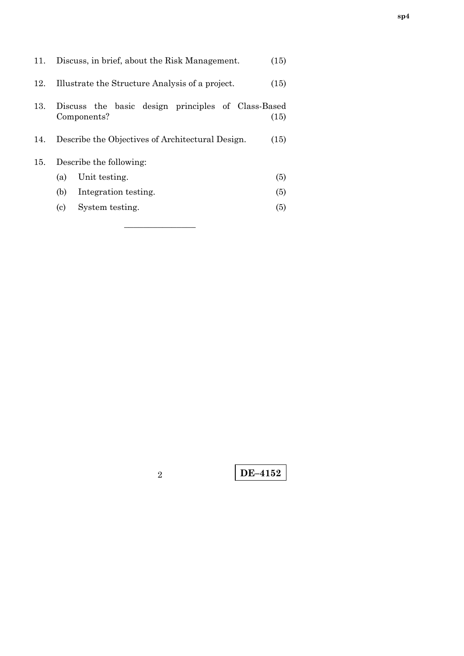| 11. |                         | Discuss, in brief, about the Risk Management.                     | (15) |
|-----|-------------------------|-------------------------------------------------------------------|------|
| 12. |                         | Illustrate the Structure Analysis of a project.                   | (15) |
| 13. |                         | Discuss the basic design principles of Class-Based<br>Components? | (15) |
| 14. |                         | Describe the Objectives of Architectural Design.                  | (15) |
| 15. | Describe the following: |                                                                   |      |
|     | (a)                     | Unit testing.                                                     | (5)  |
|     | (b)                     | Integration testing.                                              | (5)  |
|     | (c)                     | System testing.                                                   | (5)  |

–––––––––––––––

**DE–4152** <sup>2</sup>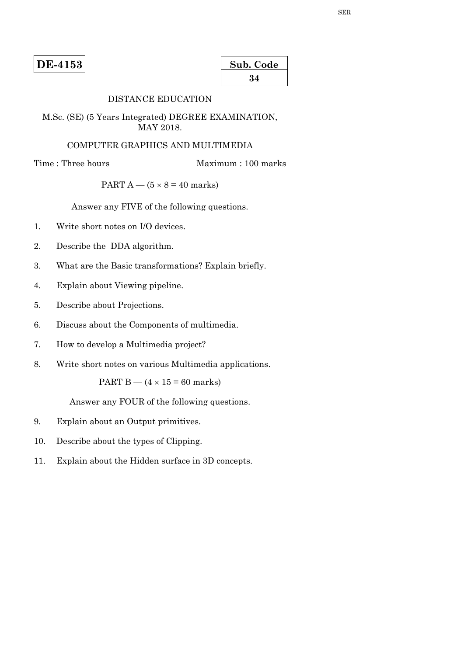**DE-4153** 

| Sub. Code |  |
|-----------|--|
| 34        |  |

# DISTANCE EDUCATION

M.Sc. (SE) (5 Years Integrated) DEGREE EXAMINATION, MAY 2018.

## COMPUTER GRAPHICS AND MULTIMEDIA

Time : Three hours Maximum : 100 marks

## PART  $A - (5 \times 8 = 40$  marks)

Answer any FIVE of the following questions.

- 1. Write short notes on I/O devices.
- 2. Describe the DDA algorithm.
- 3. What are the Basic transformations? Explain briefly.
- 4. Explain about Viewing pipeline.
- 5. Describe about Projections.
- 6. Discuss about the Components of multimedia.
- 7. How to develop a Multimedia project?
- 8. Write short notes on various Multimedia applications.

PART B —  $(4 \times 15 = 60$  marks)

Answer any FOUR of the following questions.

- 9. Explain about an Output primitives.
- 10. Describe about the types of Clipping.
- 11. Explain about the Hidden surface in 3D concepts.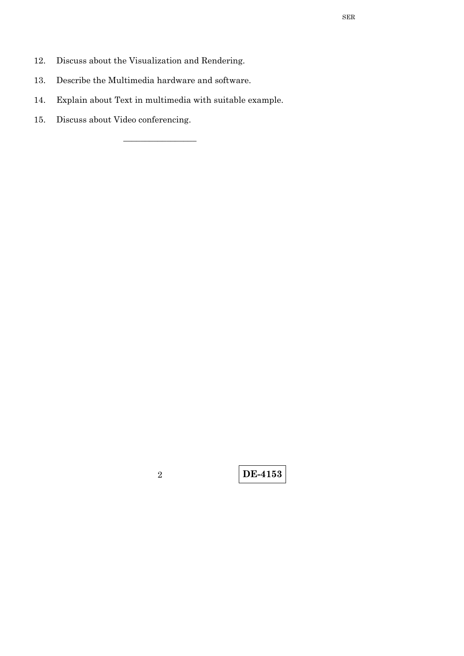- 12. Discuss about the Visualization and Rendering.
- 13. Describe the Multimedia hardware and software.
- 14. Explain about Text in multimedia with suitable example.

\_\_\_\_\_\_\_\_\_\_\_\_\_\_\_\_\_

15. Discuss about Video conferencing.

**DE-4153** <sup>2</sup>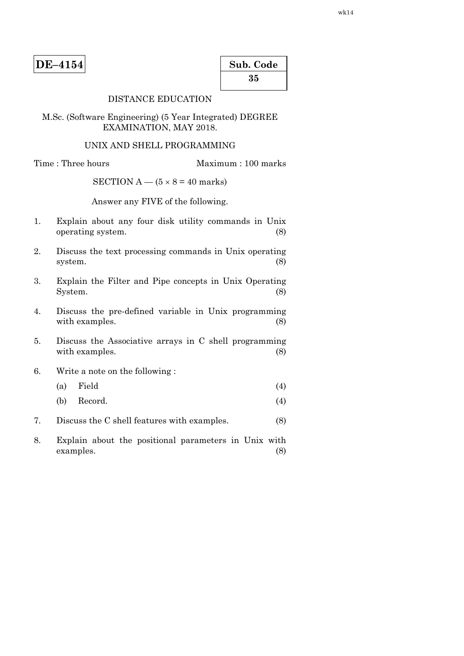| Sub. Code |  |  |  |
|-----------|--|--|--|
| 35        |  |  |  |

## DISTANCE EDUCATION

M.Sc. (Software Engineering) (5 Year Integrated) DEGREE EXAMINATION, MAY 2018.

### UNIX AND SHELL PROGRAMMING

Time : Three hours Maximum : 100 marks

SECTION A —  $(5 \times 8 = 40$  marks)

Answer any FIVE of the following.

- 1. Explain about any four disk utility commands in Unix operating system. (8)
- 2. Discuss the text processing commands in Unix operating system.  $(8)$
- 3. Explain the Filter and Pipe concepts in Unix Operating System. (8)
- 4. Discuss the pre-defined variable in Unix programming with examples. (8)
- 5. Discuss the Associative arrays in C shell programming with examples. (8)
- 6. Write a note on the following :
- $(a)$  Field  $(4)$
- (b) Record. (4)
- 7. Discuss the C shell features with examples. (8)
- 8. Explain about the positional parameters in Unix with examples. (8)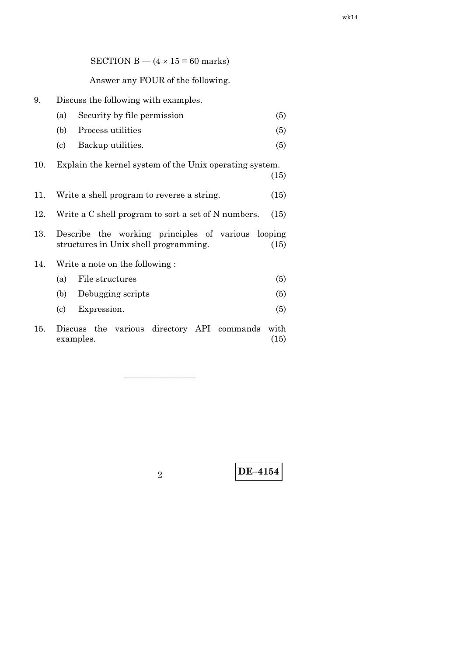|     | Answer any FOUR of the following.                                                           |              |  |
|-----|---------------------------------------------------------------------------------------------|--------------|--|
| 9.  | Discuss the following with examples.                                                        |              |  |
|     | Security by file permission<br>(a)                                                          | (5)          |  |
|     | (b)<br>Process utilities                                                                    | (5)          |  |
|     | (c)<br>Backup utilities.                                                                    | (5)          |  |
| 10. | Explain the kernel system of the Unix operating system.                                     | (15)         |  |
| 11. | Write a shell program to reverse a string.                                                  | (15)         |  |
| 12. | Write a C shell program to sort a set of N numbers.                                         | (15)         |  |
| 13. | Describe the working principles of various looping<br>structures in Unix shell programming. | (15)         |  |
| 14. | Write a note on the following:                                                              |              |  |
|     | File structures<br>(a)                                                                      | (5)          |  |
|     | (b)<br>Debugging scripts                                                                    | (5)          |  |
|     | Expression.<br>(c)                                                                          | (5)          |  |
| 15. | Discuss the various directory API commands<br>examples.                                     | with<br>(15) |  |

SECTION B —  $(4 \times 15 = 60$  marks)

–––––––––––––––

**DE–4154** <sup>2</sup>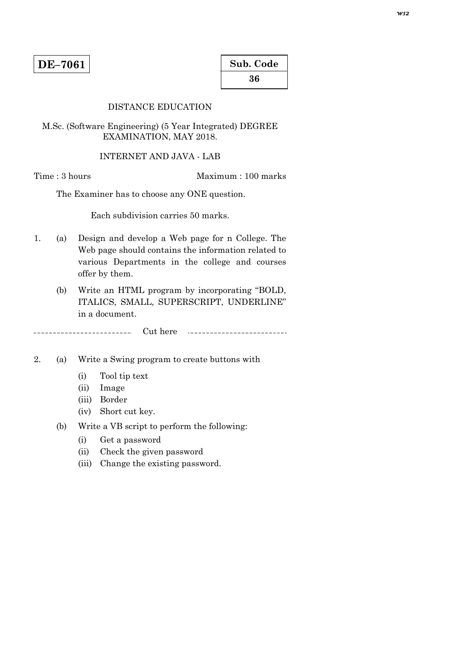# DISTANCE EDUCATION

M.Sc. (Software Engineering) (5 Year Integrated) DEGREE EXAMINATION, MAY 2018.

#### INTERNET AND JAVA - LAB

Time : 3 hours Maximum : 100 marks

The Examiner has to choose any ONE question.

Each subdivision carries 50 marks.

- 1. (a) Design and develop a Web page for n College. The Web page should contains the information related to various Departments in the college and courses offer by them.
	- (b) Write an HTML program by incorporating "BOLD, ITALICS, SMALL, SUPERSCRIPT, UNDERLINE" in a document.

<u>. . . . . . . . . . . . .</u> Cut here

2. (a) Write a Swing program to create buttons with

- (i) Tool tip text
- (ii) Image
- (iii) Border
- (iv) Short cut key.
- (b) Write a VB script to perform the following:
	- (i) Get a password
	- (ii) Check the given password
	- (iii) Change the existing password.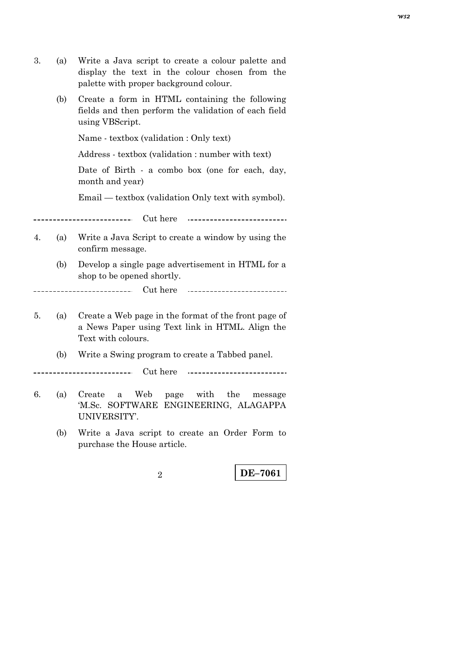- 3. (a) Write a Java script to create a colour palette and display the text in the colour chosen from the palette with proper background colour.
	- (b) Create a form in HTML containing the following fields and then perform the validation of each field using VBScript.

Name - textbox (validation : Only text)

Address - textbox (validation : number with text)

 Date of Birth - a combo box (one for each, day, month and year)

Email — textbox (validation Only text with symbol).

. . . . . . . . . . . . . . Cut here 

- 4. (a) Write a Java Script to create a window by using the confirm message.
	- (b) Develop a single page advertisement in HTML for a shop to be opened shortly.

Cut here ...........................

5. (a) Create a Web page in the format of the front page of a News Paper using Text link in HTML. Align the Text with colours.

1

(b) Write a Swing program to create a Tabbed panel.

---------Cut here 

- 6. (a) Create a Web page with the message 'M.Sc. SOFTWARE ENGINEERING, ALAGAPPA UNIVERSITY'.
	- (b) Write a Java script to create an Order Form to purchase the House article.

**DE–7061** 2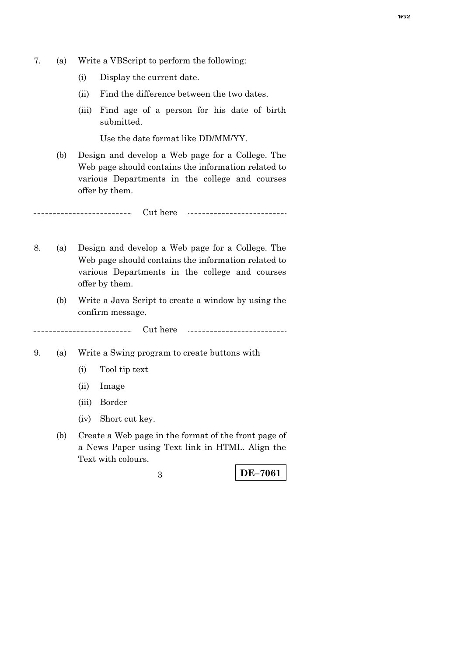- 7. (a) Write a VBScript to perform the following:
	- (i) Display the current date.
	- (ii) Find the difference between the two dates.
	- (iii) Find age of a person for his date of birth submitted.

Use the date format like DD/MM/YY.

 (b) Design and develop a Web page for a College. The Web page should contains the information related to various Departments in the college and courses offer by them.

Cut here ---------------------------

- 8. (a) Design and develop a Web page for a College. The Web page should contains the information related to various Departments in the college and courses offer by them.
	- (b) Write a Java Script to create a window by using the confirm message.

Cut here \_\_\_\_\_\_\_\_\_\_\_\_\_\_ 

- 9. (a) Write a Swing program to create buttons with
	- (i) Tool tip text
	- (ii) Image
	- (iii) Border
	- (iv) Short cut key.
	- (b) Create a Web page in the format of the front page of a News Paper using Text link in HTML. Align the Text with colours.

**DE–7061** 3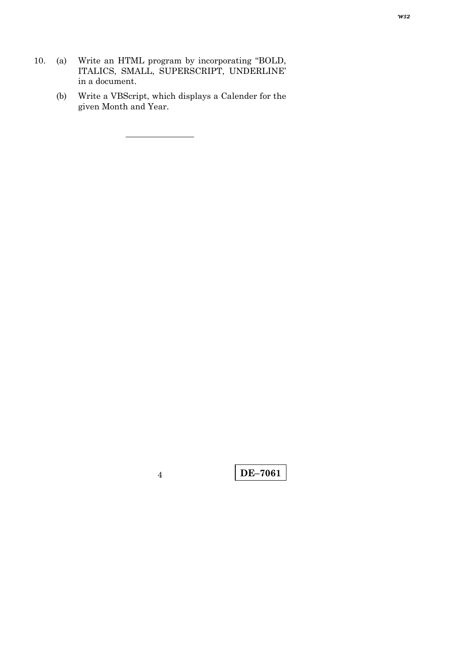10. (a) Write an HTML program by incorporating "BOLD, ITALICS, SMALL, SUPERSCRIPT, UNDERLINE' in a document.

————————

 (b) Write a VBScript, which displays a Calender for the given Month and Year.

**DE–7061** <sup>4</sup>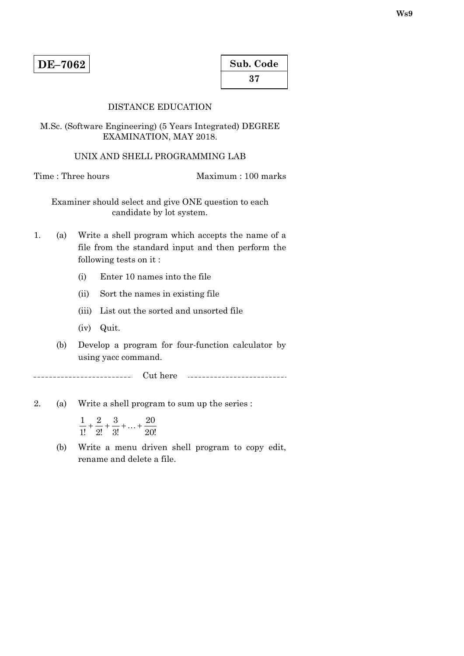| Sub. Code |  |
|-----------|--|
| 37        |  |

# DISTANCE EDUCATION

M.Sc. (Software Engineering) (5 Years Integrated) DEGREE EXAMINATION, MAY 2018.

## UNIX AND SHELL PROGRAMMING LAB

Time : Three hours Maximum : 100 marks

Examiner should select and give ONE question to each candidate by lot system.

- 1. (a) Write a shell program which accepts the name of a file from the standard input and then perform the following tests on it :
	- (i) Enter 10 names into the file
	- (ii) Sort the names in existing file
	- (iii) List out the sorted and unsorted file
	- (iv) Quit.
	- (b) Develop a program for four-function calculator by using yacc command.

Cut here \_\_\_\_\_\_\_\_\_\_\_\_\_\_\_\_

- 2. (a) Write a shell program to sum up the series :
- $\frac{1}{1!} + \frac{2}{2!} + \frac{3}{3!} + \dots + \frac{20}{20!}$ 3! 3 2! 2 1!  $\frac{1}{1!} + \frac{2}{9!} + \frac{3}{9!} + \dots$ 
	- (b) Write a menu driven shell program to copy edit, rename and delete a file.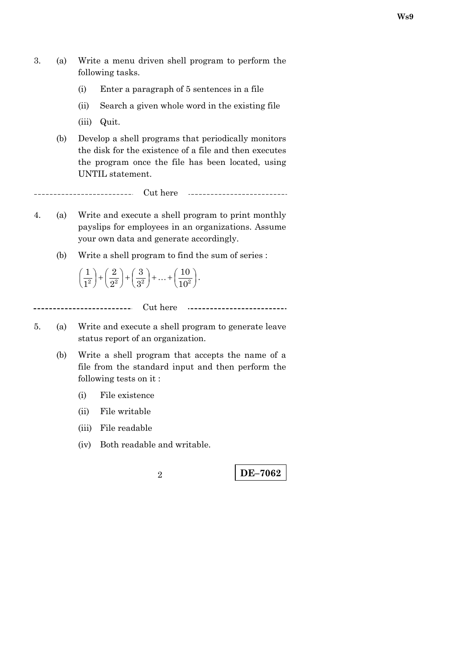- 3. (a) Write a menu driven shell program to perform the following tasks.
	- (i) Enter a paragraph of 5 sentences in a file
	- (ii) Search a given whole word in the existing file
	- (iii) Quit.
	- (b) Develop a shell programs that periodically monitors the disk for the existence of a file and then executes the program once the file has been located, using UNTIL statement.

 $\overline{a}$ Cut here <u> 111111111111111</u> ...........................

- 4. (a) Write and execute a shell program to print monthly payslips for employees in an organizations. Assume your own data and generate accordingly.
	- (b) Write a shell program to find the sum of series :

 $\left(\frac{1}{1^2}\right) + \left(\frac{2}{2^2}\right) + \left(\frac{3}{3^2}\right) + \ldots + \left(\frac{10}{10^2}\right)$ ſ  $\left(2^{2}\right)^{1}\left(2^{2}\right)^{1}\left(3^{2}\right)^{1}$   $\cdots$   $\left(10^{2}\right)$ 10 3 3 2 2  $\frac{1}{1^2}$  +  $\left(\frac{2}{2^2}\right)$  +  $\left(\frac{3}{3^2}\right)$  + ... +  $\left(\frac{10}{10^2}\right)$ .

Cut here <u>. . . . . . . . . . . . . . . . . .</u>

- 5. (a) Write and execute a shell program to generate leave status report of an organization.
	- (b) Write a shell program that accepts the name of a file from the standard input and then perform the following tests on it :
		- (i) File existence
		- (ii) File writable
		- (iii) File readable
		- (iv) Both readable and writable.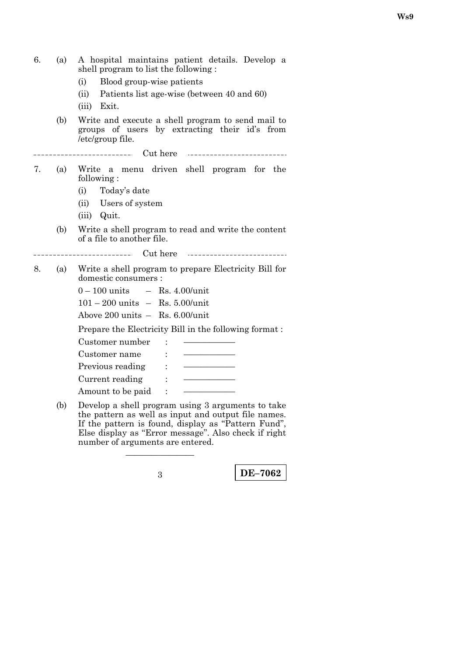| 6. | (a) | A hospital maintains patient details. Develop a<br>shell program to list the following:<br>Blood group-wise patients<br>(i)<br>(ii)<br>Patients list age-wise (between 40 and 60)<br>Exit.<br>(iii) |
|----|-----|-----------------------------------------------------------------------------------------------------------------------------------------------------------------------------------------------------|
|    | (b) | Write and execute a shell program to send mail to<br>groups of users by extracting their id's<br>from<br>/etc/group file.                                                                           |
|    |     |                                                                                                                                                                                                     |
| 7. | (a) | Write a menu driven shell program for the<br>following:                                                                                                                                             |
|    |     | Today's date<br>(i)                                                                                                                                                                                 |
|    |     | (ii) Users of system                                                                                                                                                                                |
|    |     | (iii) Quit.                                                                                                                                                                                         |
|    | (b) | Write a shell program to read and write the content<br>of a file to another file.                                                                                                                   |
|    |     |                                                                                                                                                                                                     |
| 8. | (a) | Write a shell program to prepare Electricity Bill for<br>domestic consumers :                                                                                                                       |
|    |     | $0 - 100$ units $-$ Rs. 4.00/unit                                                                                                                                                                   |
|    |     | $101 - 200$ units $-$ Rs. 5.00/unit                                                                                                                                                                 |
|    |     | Above 200 units $-$ Rs. 6.00/unit                                                                                                                                                                   |
|    |     | Prepare the Electricity Bill in the following format:                                                                                                                                               |
|    |     | Customer number                                                                                                                                                                                     |
|    |     | Customer name                                                                                                                                                                                       |
|    |     | Previous reading<br>$\mathbb{R}^n$                                                                                                                                                                  |
|    |     | Current reading :                                                                                                                                                                                   |
|    |     | Amount to be paid<br>$\overline{\phantom{a}}$ :                                                                                                                                                     |
|    | (b) | Develop a shell program using 3 arguments to take<br>the pattern as well as input and output file names.<br>If the nottenn is found display as "Pottern Fund"                                       |

If the pattern is found, display as "Pattern Fund", Else display as ''Error message''. Also check if right number of arguments are entered.

————————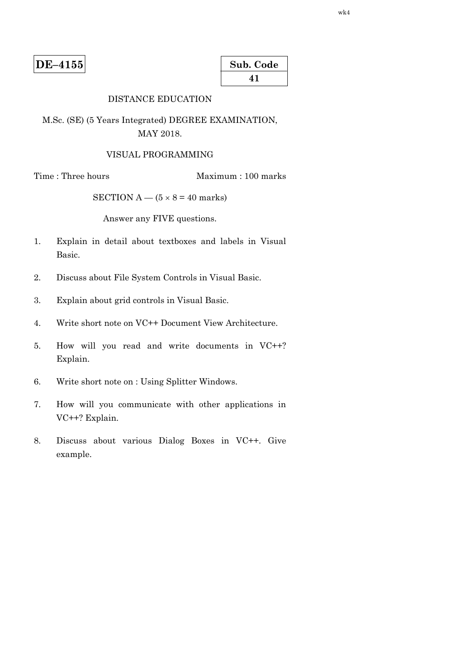| Sub. Code |  |
|-----------|--|
| 41        |  |

# DISTANCE EDUCATION

M.Sc. (SE) (5 Years Integrated) DEGREE EXAMINATION, MAY 2018.

#### VISUAL PROGRAMMING

Time : Three hours Maximum : 100 marks

SECTION  $A - (5 \times 8 = 40$  marks)

Answer any FIVE questions.

- 1. Explain in detail about textboxes and labels in Visual Basic.
- 2. Discuss about File System Controls in Visual Basic.
- 3. Explain about grid controls in Visual Basic.
- 4. Write short note on VC++ Document View Architecture.
- 5. How will you read and write documents in VC++? Explain.
- 6. Write short note on : Using Splitter Windows.
- 7. How will you communicate with other applications in VC++? Explain.
- 8. Discuss about various Dialog Boxes in VC++. Give example.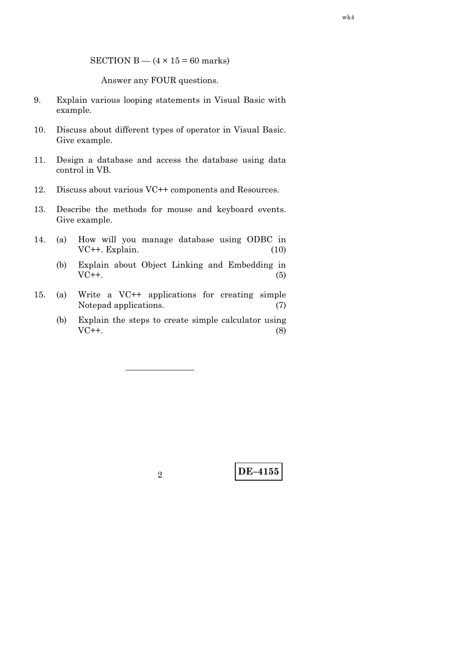SECTION B  $-$  (4  $\times$  15 = 60 marks)

Answer any FOUR questions.

- 9. Explain various looping statements in Visual Basic with example.
- 10. Discuss about different types of operator in Visual Basic. Give example.
- 11. Design a database and access the database using data control in VB.
- 12. Discuss about various VC++ components and Resources.
- 13. Describe the methods for mouse and keyboard events. Give example.
- 14. (a) How will you manage database using ODBC in VC++. Explain. (10)
	- (b) Explain about Object Linking and Embedding in  $VC++.$  (5)
- 15. (a) Write a VC++ applications for creating simple Notepad applications. (7)

————————

 (b) Explain the steps to create simple calculator using  $VC++.$  (8)

**DE–4155** <sup>2</sup>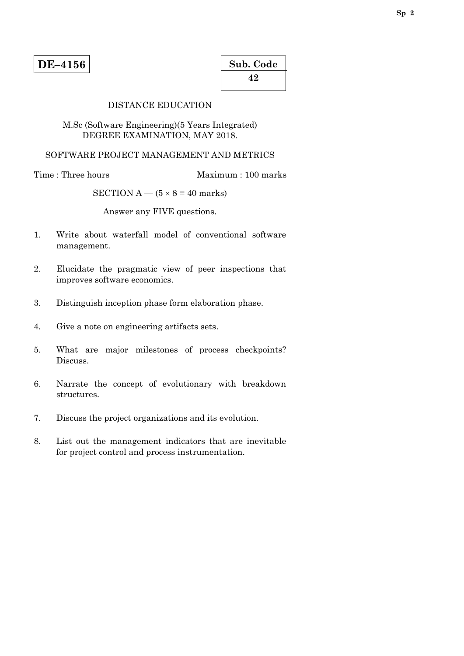# DISTANCE EDUCATION

# M.Sc (Software Engineering)(5 Years Integrated) DEGREE EXAMINATION, MAY 2018.

# SOFTWARE PROJECT MANAGEMENT AND METRICS

Time : Three hours Maximum : 100 marks

SECTION A —  $(5 \times 8 = 40$  marks)

Answer any FIVE questions.

- 1. Write about waterfall model of conventional software management.
- 2. Elucidate the pragmatic view of peer inspections that improves software economics.
- 3. Distinguish inception phase form elaboration phase.
- 4. Give a note on engineering artifacts sets.
- 5. What are major milestones of process checkpoints? Discuss.
- 6. Narrate the concept of evolutionary with breakdown structures.
- 7. Discuss the project organizations and its evolution.
- 8. List out the management indicators that are inevitable for project control and process instrumentation.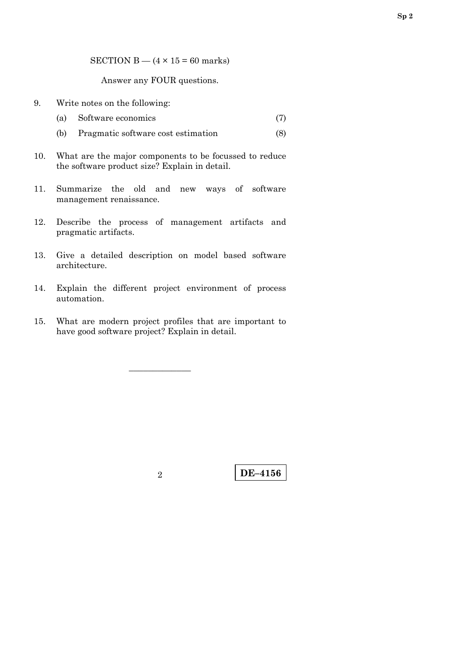SECTION B  $-$  (4  $\times$  15 = 60 marks)

Answer any FOUR questions.

- 9. Write notes on the following:
	- (a) Software economics (7)
	- (b) Pragmatic software cost estimation (8)
- 10. What are the major components to be focussed to reduce the software product size? Explain in detail.
- 11. Summarize the old and new ways of software management renaissance.
- 12. Describe the process of management artifacts and pragmatic artifacts.
- 13. Give a detailed description on model based software architecture.
- 14. Explain the different project environment of process automation.
- 15. What are modern project profiles that are important to have good software project? Explain in detail.

–––––––––––––

**Sp 2**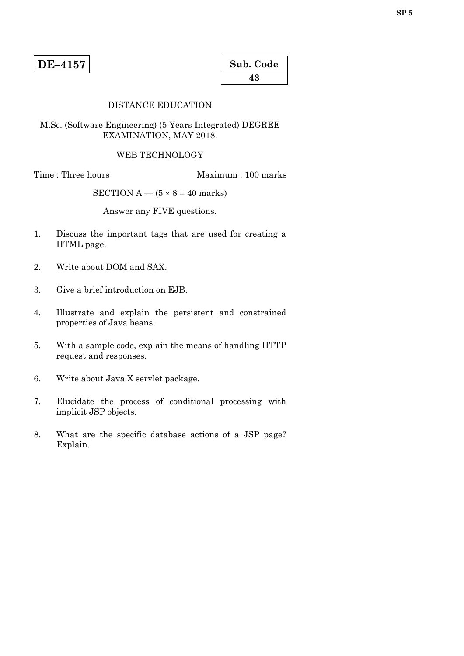| Sub. Code |
|-----------|
| 43        |

# DISTANCE EDUCATION

# M.Sc. (Software Engineering) (5 Years Integrated) DEGREE EXAMINATION, MAY 2018.

## WEB TECHNOLOGY

Time : Three hours Maximum : 100 marks

SECTION A —  $(5 \times 8 = 40$  marks)

Answer any FIVE questions.

- 1. Discuss the important tags that are used for creating a HTML page.
- 2. Write about DOM and SAX.
- 3. Give a brief introduction on EJB.
- 4. Illustrate and explain the persistent and constrained properties of Java beans.
- 5. With a sample code, explain the means of handling HTTP request and responses.
- 6. Write about Java X servlet package.
- 7. Elucidate the process of conditional processing with implicit JSP objects.
- 8. What are the specific database actions of a JSP page? Explain.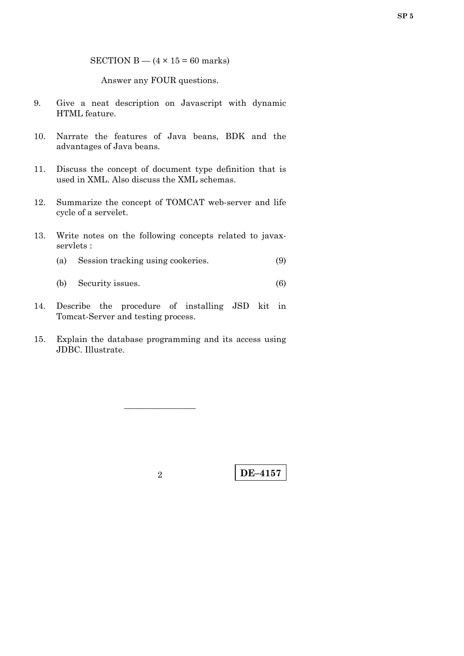SECTION B  $-$  (4  $\times$  15 = 60 marks)

Answer any FOUR questions.

- 9. Give a neat description on Javascript with dynamic HTML feature.
- 10. Narrate the features of Java beans, BDK and the advantages of Java beans.
- 11. Discuss the concept of document type definition that is used in XML. Also discuss the XML schemas.
- 12. Summarize the concept of TOMCAT web-server and life cycle of a servelet.
- 13. Write notes on the following concepts related to javaxservlets :
	- (a) Session tracking using cookeries. (9)
	- (b) Security issues. (6)
- 14. Describe the procedure of installing JSD kit in Tomcat-Server and testing process.
- 15. Explain the database programming and its access using JDBC. Illustrate.

–––––––––––––––

**DE–4157** <sup>2</sup>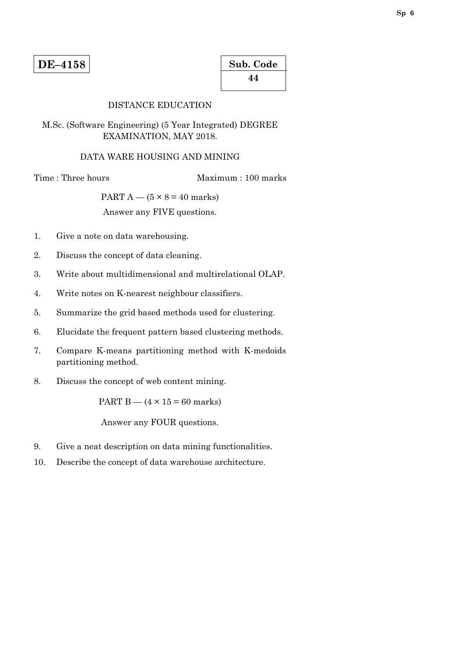| Sub. Code |  |
|-----------|--|
| 44        |  |

## DISTANCE EDUCATION

# M.Sc. (Software Engineering) (5 Year Integrated) DEGREE EXAMINATION, MAY 2018.

#### DATA WARE HOUSING AND MINING

Time : Three hours Maximum : 100 marks

PART  $A - (5 \times 8 = 40$  marks)

Answer any FIVE questions.

- 1. Give a note on data warehousing.
- 2. Discuss the concept of data cleaning.
- 3. Write about multidimensional and multirelational OLAP.
- 4. Write notes on K-nearest neighbour classifiers.
- 5. Summarize the grid based methods used for clustering.
- 6. Elucidate the frequent pattern based clustering methods.
- 7. Compare K-means partitioning method with K-medoids partitioning method.
- 8. Discuss the concept of web content mining.

PART B  $-$  (4  $\times$  15 = 60 marks)

Answer any FOUR questions.

- 9. Give a neat description on data mining functionalities.
- 10. Describe the concept of data warehouse architecture.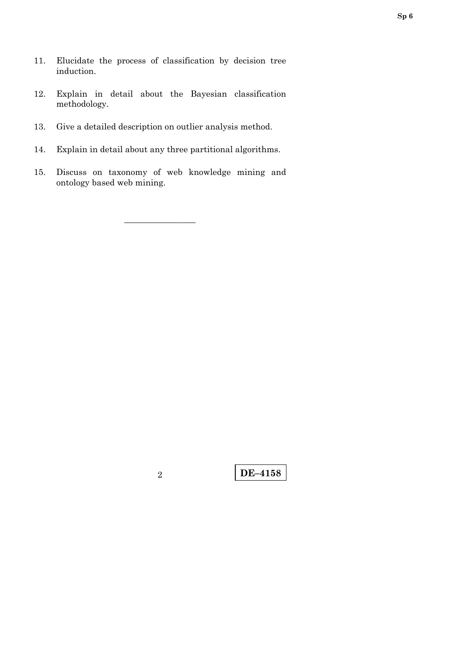- 11. Elucidate the process of classification by decision tree induction.
- 12. Explain in detail about the Bayesian classification methodology.
- 13. Give a detailed description on outlier analysis method.
- 14. Explain in detail about any three partitional algorithms.
- 15. Discuss on taxonomy of web knowledge mining and ontology based web mining.

–––––––––––––––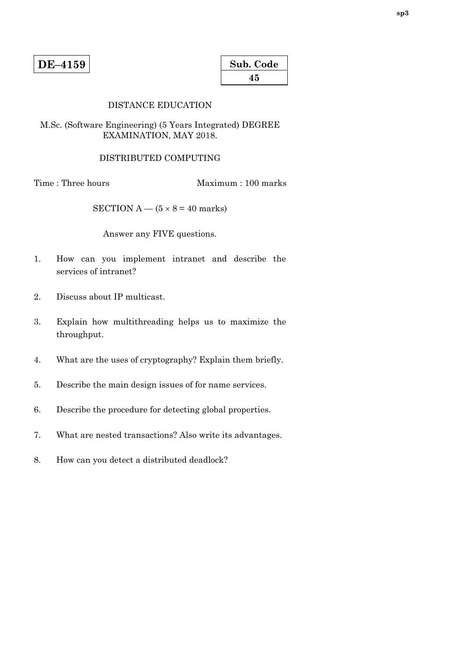| Sub. Code |  |
|-----------|--|
| 45        |  |

## DISTANCE EDUCATION

# M.Sc. (Software Engineering) (5 Years Integrated) DEGREE EXAMINATION, MAY 2018.

## DISTRIBUTED COMPUTING

Time : Three hours Maximum : 100 marks

SECTION A —  $(5 \times 8 = 40$  marks)

Answer any FIVE questions.

- 1. How can you implement intranet and describe the services of intranet?
- 2. Discuss about IP multicast.
- 3. Explain how multithreading helps us to maximize the throughput.
- 4. What are the uses of cryptography? Explain them briefly.
- 5. Describe the main design issues of for name services.
- 6. Describe the procedure for detecting global properties.
- 7. What are nested transactions? Also write its advantages.
- 8. How can you detect a distributed deadlock?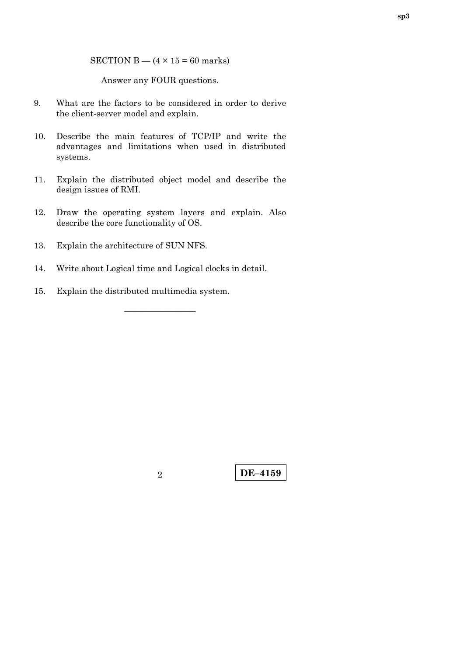SECTION B  $-$  (4  $\times$  15 = 60 marks)

Answer any FOUR questions.

- 9. What are the factors to be considered in order to derive the client-server model and explain.
- 10. Describe the main features of TCP/IP and write the advantages and limitations when used in distributed systems.
- 11. Explain the distributed object model and describe the design issues of RMI.
- 12. Draw the operating system layers and explain. Also describe the core functionality of OS.
- 13. Explain the architecture of SUN NFS.
- 14. Write about Logical time and Logical clocks in detail.

–––––––––––––––

15. Explain the distributed multimedia system.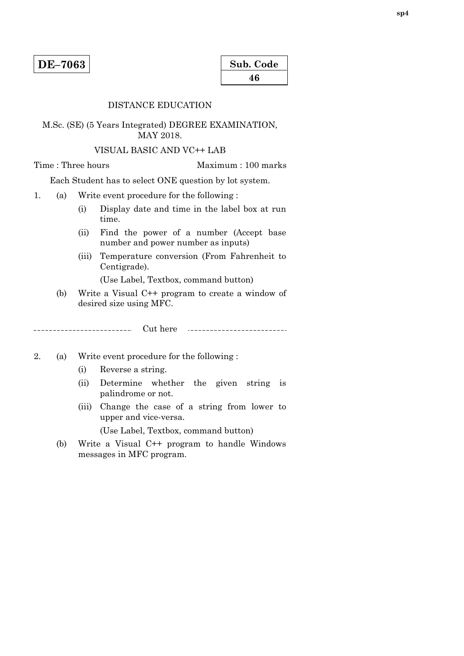| Sub. Code |  |
|-----------|--|
| 46        |  |

#### DISTANCE EDUCATION

# M.Sc. (SE) (5 Years Integrated) DEGREE EXAMINATION, MAY 2018.

#### VISUAL BASIC AND VC++ LAB

 $\overline{a}$ 

Time : Three hours Maximum : 100 marks

Each Student has to select ONE question by lot system.

- 1. (a) Write event procedure for the following :
	- (i) Display date and time in the label box at run time.
	- (ii) Find the power of a number (Accept base number and power number as inputs)
	- (iii) Temperature conversion (From Fahrenheit to Centigrade).

(Use Label, Textbox, command button)

(b) Write a Visual C++ program to create a window of desired size using MFC.

Cut here \_\_\_\_\_\_\_\_\_\_\_\_\_\_\_\_\_\_\_\_\_\_\_\_ 

- 2. (a) Write event procedure for the following :
	- (i) Reverse a string.
	- (ii) Determine whether the given string is palindrome or not.
	- (iii) Change the case of a string from lower to upper and vice-versa.

(Use Label, Textbox, command button)

 (b) Write a Visual C++ program to handle Windows messages in MFC program.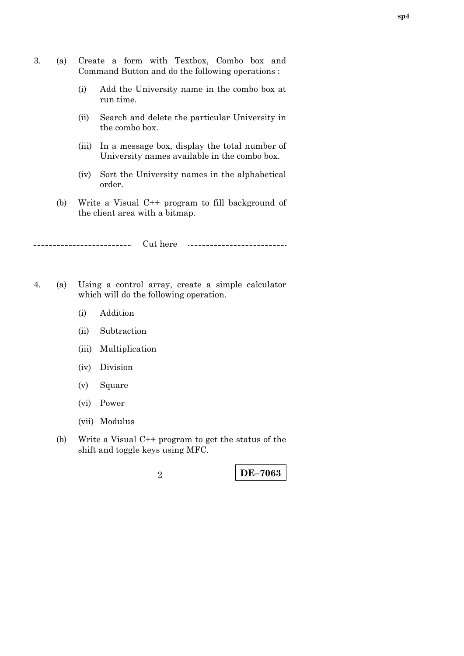- 3. (a) Create a form with Textbox, Combo box and Command Button and do the following operations :
	- (i) Add the University name in the combo box at run time.
	- (ii) Search and delete the particular University in the combo box.
	- (iii) In a message box, display the total number of University names available in the combo box.
	- (iv) Sort the University names in the alphabetical order.
	- (b) Write a Visual C++ program to fill background of the client area with a bitmap.

Cut here

- 4. (a) Using a control array, create a simple calculator which will do the following operation.
	- (i) Addition
	- (ii) Subtraction
	- (iii) Multiplication
	- (iv) Division
	- (v) Square
	- (vi) Power
	- (vii) Modulus
	- (b) Write a Visual C++ program to get the status of the shift and toggle keys using MFC.

**DE–7063** <sup>2</sup>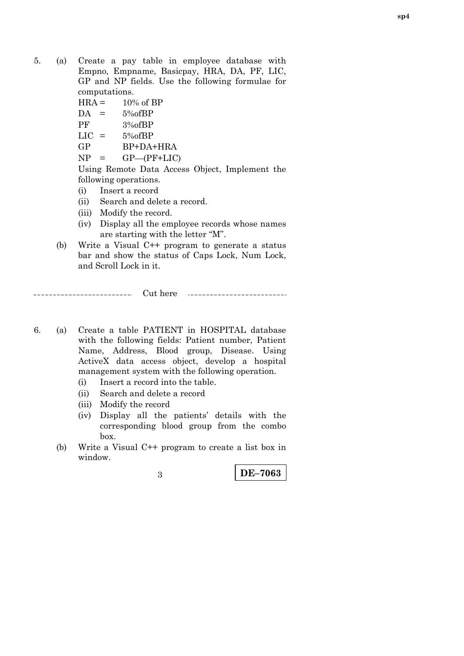- 5. (a) Create a pay table in employee database with Empno, Empname, Basicpay, HRA, DA, PF, LIC, GP and NP fields. Use the following formulae for computations.
	- $HRA = 10\% \text{ of } BP$
	- $DA = 5\% of BP$
	- PF 3%ofBP
	- $LIC = 5\% of BP$
	- GP BP+DA+HRA
	- $NP = GP-(PF+LIC)$

 Using Remote Data Access Object, Implement the following operations.

(i) Insert a record

-----------------------

- (ii) Search and delete a record.
- (iii) Modify the record.
- (iv) Display all the employee records whose names are starting with the letter "M".
- (b) Write a Visual C++ program to generate a status bar and show the status of Caps Lock, Num Lock, and Scroll Lock in it.

Cut here

- 6. (a) Create a table PATIENT in HOSPITAL database with the following fields: Patient number, Patient Name, Address, Blood group, Disease. Using ActiveX data access object, develop a hospital management system with the following operation.
	- (i) Insert a record into the table.
	- (ii) Search and delete a record
	- (iii) Modify the record
	- (iv) Display all the patients' details with the corresponding blood group from the combo box.
	- (b) Write a Visual C++ program to create a list box in window.

**DE–7063** <sup>3</sup>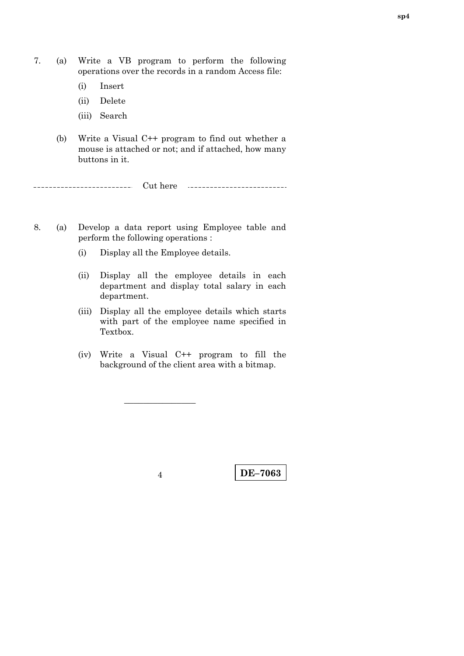- 7. (a) Write a VB program to perform the following operations over the records in a random Access file:
	- (i) Insert
	- (ii) Delete
	- (iii) Search
	- (b) Write a Visual C++ program to find out whether a mouse is attached or not; and if attached, how many buttons in it.

\_\_\_\_\_\_\_\_\_\_\_\_\_\_\_\_\_\_\_\_\_\_\_ Cut here 

- 8. (a) Develop a data report using Employee table and perform the following operations :
	- (i) Display all the Employee details.
	- (ii) Display all the employee details in each department and display total salary in each department.
	- (iii) Display all the employee details which starts with part of the employee name specified in Textbox.
	- (iv) Write a Visual C++ program to fill the background of the client area with a bitmap.

–––––––––––––––

**DE–7063** <sup>4</sup>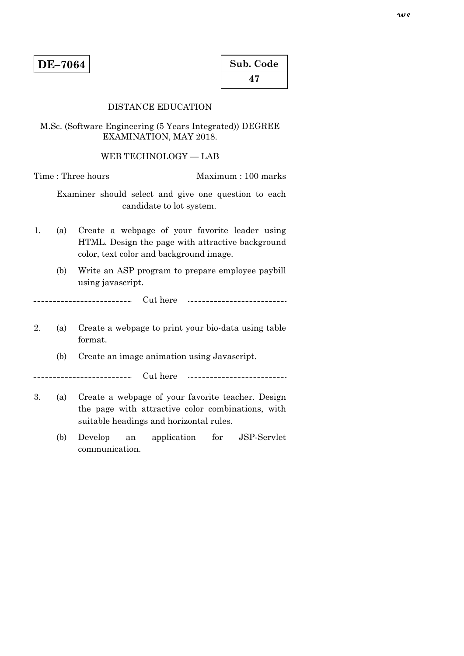# DISTANCE EDUCATION

M.Sc. (Software Engineering (5 Years Integrated)) DEGREE EXAMINATION, MAY 2018.

WEB TECHNOLOGY — LAB

Time : Three hours Maximum : 100 marks

 Examiner should select and give one question to each candidate to lot system.

- 1. (a) Create a webpage of your favorite leader using HTML. Design the page with attractive background color, text color and background image.
	- (b) Write an ASP program to prepare employee paybill using javascript.

Cut here  $- - - - - - - - \sim$   $\sim$   $\sim$ \_\_\_\_\_\_\_\_\_\_\_\_\_\_\_\_\_\_\_\_\_\_\_

- 2. (a) Create a webpage to print your bio-data using table format.
	- (b) Create an image animation using Javascript.

\_\_\_\_\_\_\_\_. Cut here

- 3. (a) Create a webpage of your favorite teacher. Design the page with attractive color combinations, with suitable headings and horizontal rules.
	- (b) Develop an application for JSP-Servlet communication.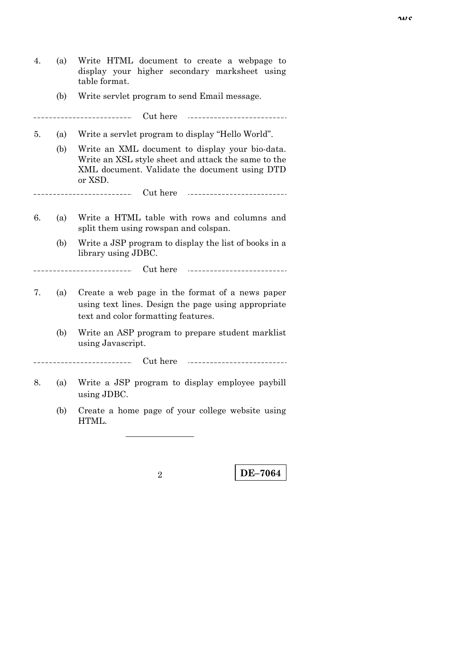4. (a) Write HTML document to create a webpage to display your higher secondary marksheet using table format. (b) Write servlet program to send Email message. -----------Cut here 5. (a) Write a servlet program to display "Hello World". (b) Write an XML document to display your bio-data. Write an XSL style sheet and attack the same to the XML document. Validate the document using DTD or XSD. Cut here \_\_\_\_\_\_\_\_\_\_\_\_\_\_\_\_\_\_\_\_\_\_\_\_\_ 1 6. (a) Write a HTML table with rows and columns and split them using rowspan and colspan. (b) Write a JSP program to display the list of books in a library using JDBC. Cut here 7. (a) Create a web page in the format of a news paper using text lines. Design the page using appropriate text and color formatting features. (b) Write an ASP program to prepare student marklist using Javascript. Cut here --------------------8. (a) Write a JSP program to display employee paybill using JDBC. (b) Create a home page of your college website using HTML.

————————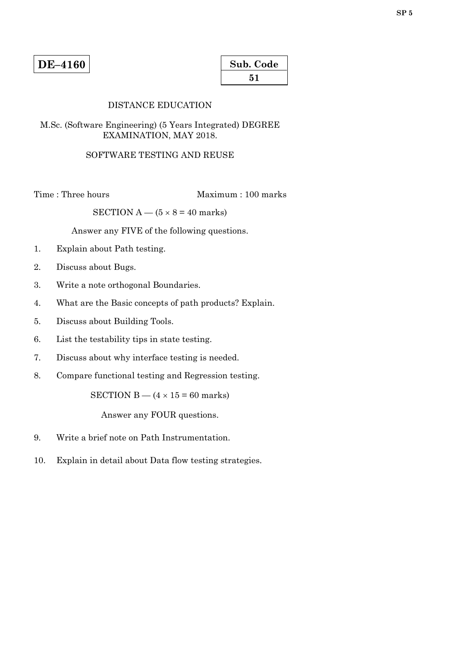| Sub. Code |  |
|-----------|--|
| 51        |  |

# DISTANCE EDUCATION

# M.Sc. (Software Engineering) (5 Years Integrated) DEGREE EXAMINATION, MAY 2018.

# SOFTWARE TESTING AND REUSE

Time : Three hours Maximum : 100 marks

SECTION  $A - (5 \times 8 = 40$  marks)

Answer any FIVE of the following questions.

- 1. Explain about Path testing.
- 2. Discuss about Bugs.
- 3. Write a note orthogonal Boundaries.
- 4. What are the Basic concepts of path products? Explain.
- 5. Discuss about Building Tools.
- 6. List the testability tips in state testing.
- 7. Discuss about why interface testing is needed.
- 8. Compare functional testing and Regression testing.

SECTION B —  $(4 \times 15 = 60$  marks)

Answer any FOUR questions.

- 9. Write a brief note on Path Instrumentation.
- 10. Explain in detail about Data flow testing strategies.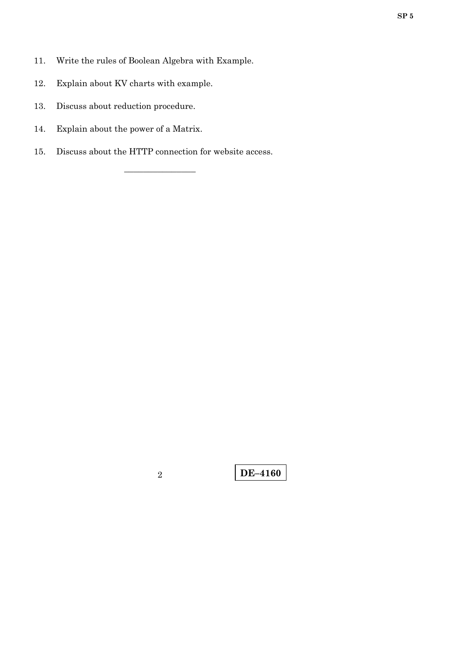- 11. Write the rules of Boolean Algebra with Example.
- 12. Explain about KV charts with example.
- 13. Discuss about reduction procedure.
- 14. Explain about the power of a Matrix.
- 15. Discuss about the HTTP connection for website access.

–––––––––––––––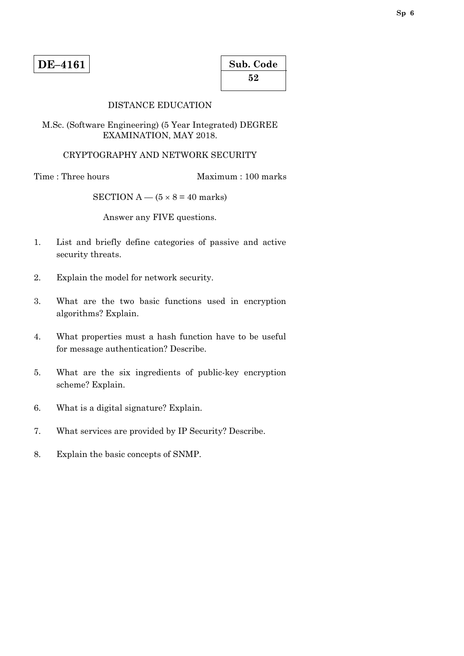| Sub. Code |  |
|-----------|--|
| 52        |  |

## DISTANCE EDUCATION

M.Sc. (Software Engineering) (5 Year Integrated) DEGREE EXAMINATION, MAY 2018.

# CRYPTOGRAPHY AND NETWORK SECURITY

Time : Three hours Maximum : 100 marks

SECTION  $A - (5 \times 8 = 40$  marks)

Answer any FIVE questions.

- 1. List and briefly define categories of passive and active security threats.
- 2. Explain the model for network security.
- 3. What are the two basic functions used in encryption algorithms? Explain.
- 4. What properties must a hash function have to be useful for message authentication? Describe.
- 5. What are the six ingredients of public-key encryption scheme? Explain.
- 6. What is a digital signature? Explain.
- 7. What services are provided by IP Security? Describe.
- 8. Explain the basic concepts of SNMP.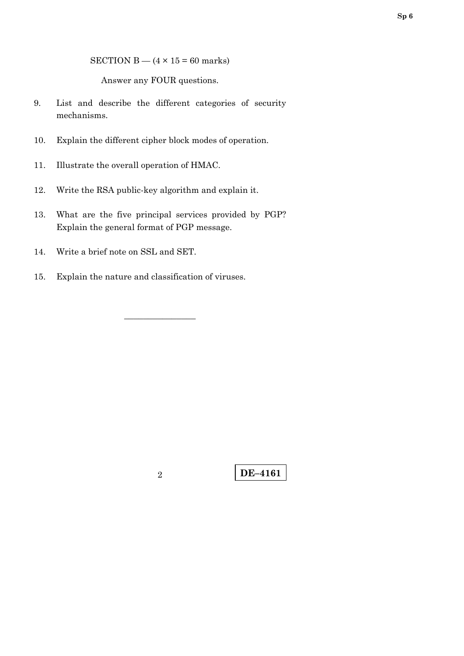SECTION B —  $(4 \times 15 = 60$  marks)

Answer any FOUR questions.

- 9. List and describe the different categories of security mechanisms.
- 10. Explain the different cipher block modes of operation.
- 11. Illustrate the overall operation of HMAC.
- 12. Write the RSA public-key algorithm and explain it.
- 13. What are the five principal services provided by PGP? Explain the general format of PGP message.

–––––––––––––––

- 14. Write a brief note on SSL and SET.
- 15. Explain the nature and classification of viruses.

**DE–4161** 2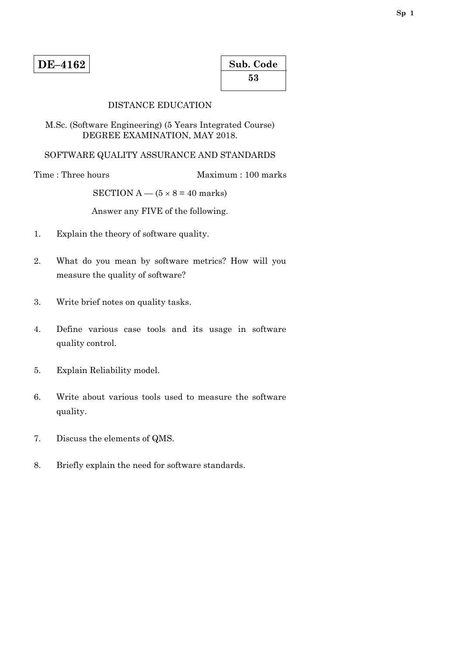| Sub. Code |  |
|-----------|--|
| 53        |  |

# DISTANCE EDUCATION

M.Sc. (Software Engineering) (5 Years Integrated Course) DEGREE EXAMINATION, MAY 2018.

SOFTWARE QUALITY ASSURANCE AND STANDARDS

Time : Three hours Maximum : 100 marks

SECTION A —  $(5 \times 8 = 40$  marks)

Answer any FIVE of the following.

- 1. Explain the theory of software quality.
- 2. What do you mean by software metrics? How will you measure the quality of software?
- 3. Write brief notes on quality tasks.
- 4. Define various case tools and its usage in software quality control.
- 5. Explain Reliability model.
- 6. Write about various tools used to measure the software quality.
- 7. Discuss the elements of QMS.
- 8. Briefly explain the need for software standards.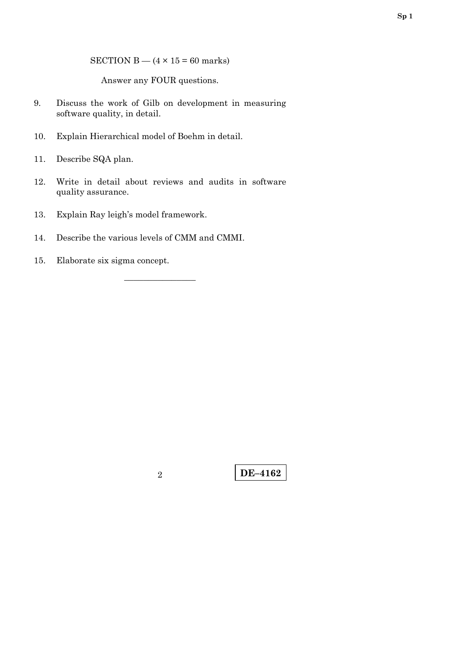SECTION B —  $(4 \times 15 = 60$  marks)

Answer any FOUR questions.

- 9. Discuss the work of Gilb on development in measuring software quality, in detail.
- 10. Explain Hierarchical model of Boehm in detail.
- 11. Describe SQA plan.
- 12. Write in detail about reviews and audits in software quality assurance.

–––––––––––––––

- 13. Explain Ray leigh's model framework.
- 14. Describe the various levels of CMM and CMMI.
- 15. Elaborate six sigma concept.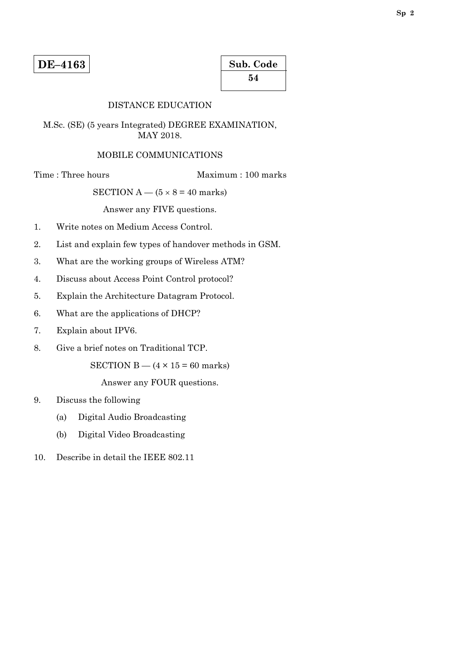# DISTANCE EDUCATION

M.Sc. (SE) (5 years Integrated) DEGREE EXAMINATION, MAY 2018.

#### MOBILE COMMUNICATIONS

Time : Three hours Maximum : 100 marks

SECTION A —  $(5 \times 8 = 40$  marks)

Answer any FIVE questions.

- 1. Write notes on Medium Access Control.
- 2. List and explain few types of handover methods in GSM.
- 3. What are the working groups of Wireless ATM?
- 4. Discuss about Access Point Control protocol?
- 5. Explain the Architecture Datagram Protocol.
- 6. What are the applications of DHCP?
- 7. Explain about IPV6.
- 8. Give a brief notes on Traditional TCP.

SECTION  $B - (4 \times 15 = 60$  marks)

Answer any FOUR questions.

- 9. Discuss the following
	- (a) Digital Audio Broadcasting
	- (b) Digital Video Broadcasting
- 10. Describe in detail the IEEE 802.11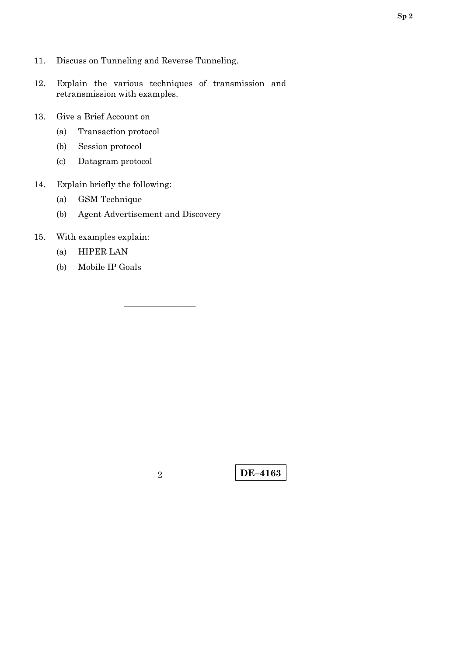- 11. Discuss on Tunneling and Reverse Tunneling.
- 12. Explain the various techniques of transmission and retransmission with examples.
- 13. Give a Brief Account on
	- (a) Transaction protocol
	- (b) Session protocol
	- (c) Datagram protocol
- 14. Explain briefly the following:
	- (a) GSM Technique
	- (b) Agent Advertisement and Discovery
- 15. With examples explain:
	- (a) HIPER LAN
	- (b) Mobile IP Goals

–––––––––––––––

**DE–4163** <sup>2</sup>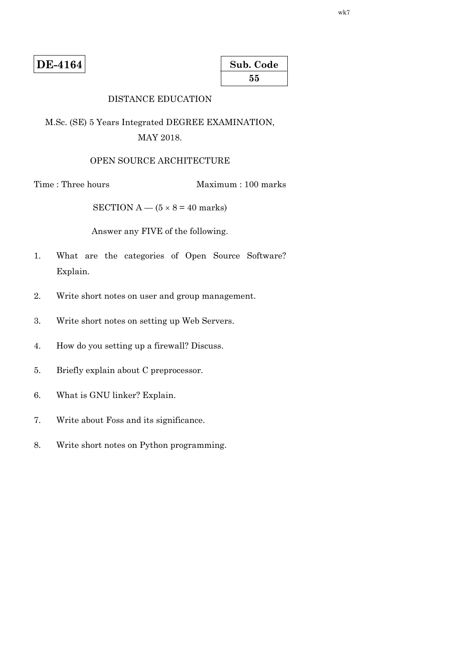**DE-4164** 

| Sub. Code |  |
|-----------|--|
| 55        |  |

# DISTANCE EDUCATION

M.Sc. (SE) 5 Years Integrated DEGREE EXAMINATION, MAY 2018.

### OPEN SOURCE ARCHITECTURE

Time : Three hours Maximum : 100 marks

SECTION A —  $(5 \times 8 = 40 \text{ marks})$ 

Answer any FIVE of the following.

- 1. What are the categories of Open Source Software? Explain.
- 2. Write short notes on user and group management.
- 3. Write short notes on setting up Web Servers.
- 4. How do you setting up a firewall? Discuss.
- 5. Briefly explain about C preprocessor.
- 6. What is GNU linker? Explain.
- 7. Write about Foss and its significance.
- 8. Write short notes on Python programming.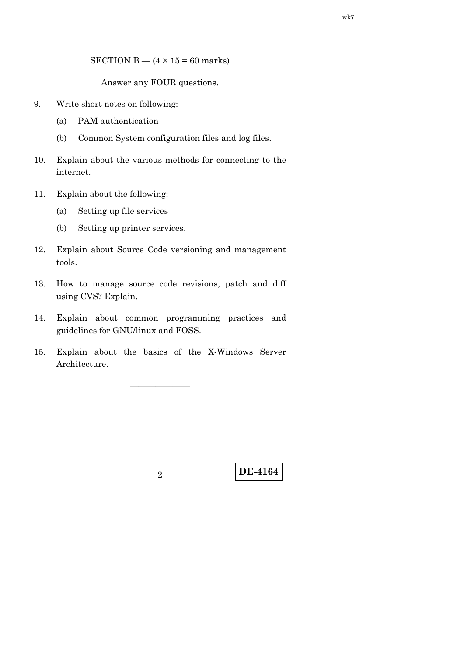SECTION B  $-$  (4  $\times$  15 = 60 marks)

Answer any FOUR questions.

- 9. Write short notes on following:
	- (a) PAM authentication
	- (b) Common System configuration files and log files.
- 10. Explain about the various methods for connecting to the internet.
- 11. Explain about the following:
	- (a) Setting up file services
	- (b) Setting up printer services.
- 12. Explain about Source Code versioning and management tools.
- 13. How to manage source code revisions, patch and diff using CVS? Explain.
- 14. Explain about common programming practices and guidelines for GNU/linux and FOSS.
- 15. Explain about the basics of the X-Windows Server Architecture.

———————

**DE-4164** <sup>2</sup>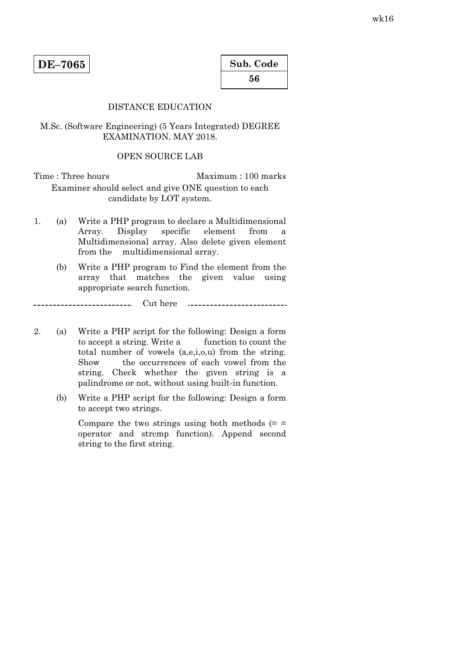| Sub. Code |  |
|-----------|--|
| 56        |  |

# DISTANCE EDUCATION

M.Sc. (Software Engineering) (5 Years Integrated) DEGREE EXAMINATION, MAY 2018.

#### OPEN SOURCE LAB

Time : Three hours Maximum : 100 marks Examiner should select and give ONE question to each candidate by LOT system.

- 1. (a) Write a PHP program to declare a Multidimensional Array. Display specific element from a Multidimensional array. Also delete given element from the multidimensional array.
	- (b) Write a PHP program to Find the element from the array that matches the given value using appropriate search function.

Cut here ---------------------------

- 2. (a) Write a PHP script for the following: Design a form to accept a string. Write a function to count the total number of vowels (a,e,i,o,u) from the string. Show the occurrences of each vowel from the string. Check whether the given string is a palindrome or not, without using built-in function.
	- (b) Write a PHP script for the following: Design a form to accept two strings.

Compare the two strings using both methods  $(=$ operator and strcmp function). Append second string to the first string.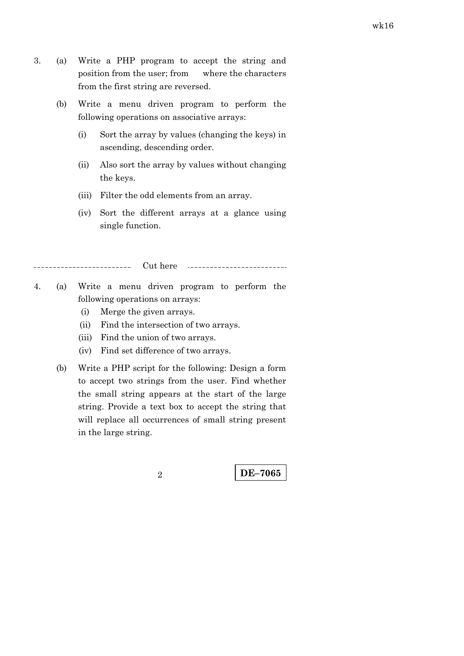- 3. (a) Write a PHP program to accept the string and position from the user; from where the characters from the first string are reversed.
	- (b) Write a menu driven program to perform the following operations on associative arrays:
		- (i) Sort the array by values (changing the keys) in ascending, descending order.
		- (ii) Also sort the array by values without changing the keys.
		- (iii) Filter the odd elements from an array.
		- (iv) Sort the different arrays at a glance using single function.

Cut here 

- 4. (a) Write a menu driven program to perform the following operations on arrays:
	- (i) Merge the given arrays.
	- (ii) Find the intersection of two arrays.
	- (iii) Find the union of two arrays.
	- (iv) Find set difference of two arrays.
	- (b) Write a PHP script for the following: Design a form to accept two strings from the user. Find whether the small string appears at the start of the large string. Provide a text box to accept the string that will replace all occurrences of small string present in the large string.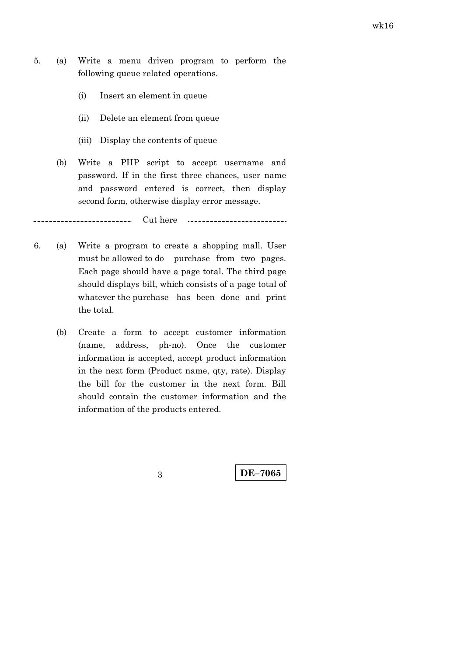- 5. (a) Write a menu driven program to perform the following queue related operations.
	- (i) Insert an element in queue
	- (ii) Delete an element from queue
	- (iii) Display the contents of queue
	- (b) Write a PHP script to accept username and password. If in the first three chances, user name and password entered is correct, then display second form, otherwise display error message.

\_\_\_\_\_\_\_\_\_\_\_\_\_\_\_\_ Cut here 

- 6. (a) Write a program to create a shopping mall. User must be allowed to do purchase from two pages. Each page should have a page total. The third page should displays bill, which consists of a page total of whatever the purchase has been done and print the total.
	- (b) Create a form to accept customer information (name, address, ph-no). Once the customer information is accepted, accept product information in the next form (Product name, qty, rate). Display the bill for the customer in the next form. Bill should contain the customer information and the information of the products entered.

**DE–7065** 3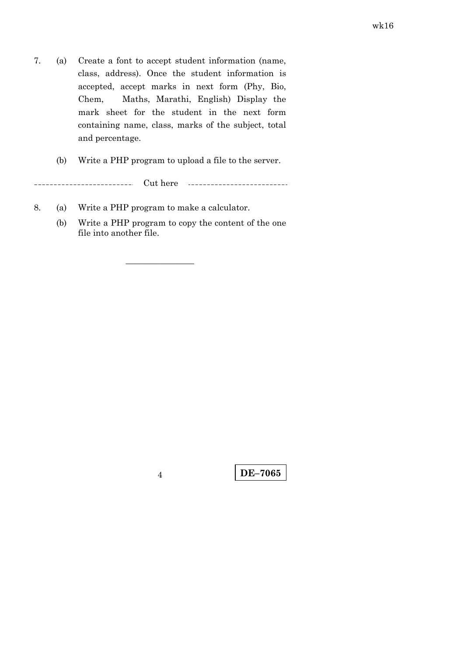- 7. (a) Create a font to accept student information (name, class, address). Once the student information is accepted, accept marks in next form (Phy, Bio, Chem, Maths, Marathi, English) Display the mark sheet for the student in the next form containing name, class, marks of the subject, total and percentage.
	- (b) Write a PHP program to upload a file to the server.

 $\overline{a}$ -------------------Cut here ---------------------------

————————

- 8. (a) Write a PHP program to make a calculator.
	- (b) Write a PHP program to copy the content of the one file into another file.

**DE–7065** <sup>4</sup>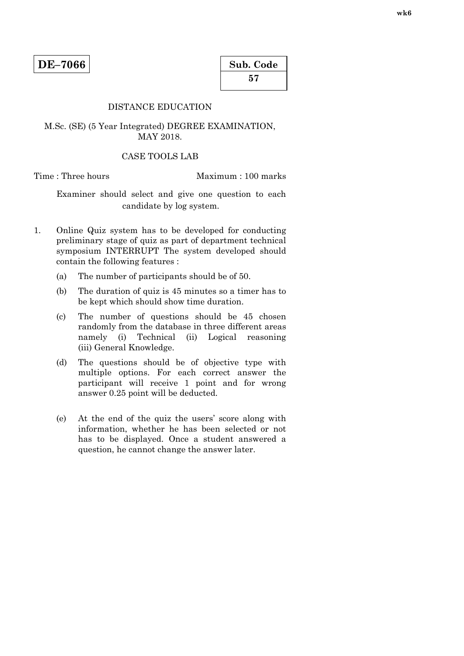# DISTANCE EDUCATION

#### M.Sc. (SE) (5 Year Integrated) DEGREE EXAMINATION, MAY 2018.

#### CASE TOOLS LAB

Time : Three hours Maximum : 100 marks

 Examiner should select and give one question to each candidate by log system.

- 1. Online Quiz system has to be developed for conducting preliminary stage of quiz as part of department technical symposium INTERRUPT The system developed should contain the following features :
	- (a) The number of participants should be of 50.
	- (b) The duration of quiz is 45 minutes so a timer has to be kept which should show time duration.
	- (c) The number of questions should be 45 chosen randomly from the database in three different areas namely (i) Technical (ii) Logical reasoning (iii) General Knowledge.
	- (d) The questions should be of objective type with multiple options. For each correct answer the participant will receive 1 point and for wrong answer 0.25 point will be deducted.
	- (e) At the end of the quiz the users' score along with information, whether he has been selected or not has to be displayed. Once a student answered a question, he cannot change the answer later.